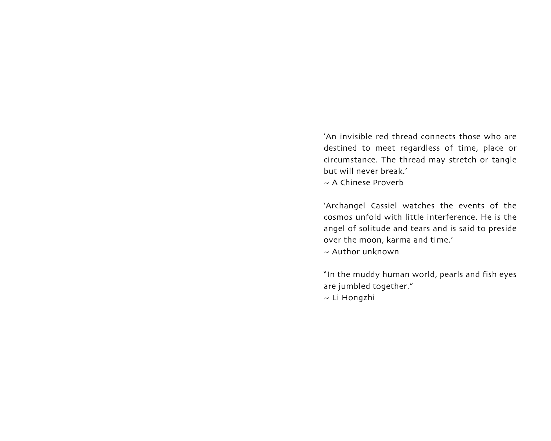'An invisible red thread connects those who are destined to meet regardless of time, place or circumstance. The thread may stretch or tangle but will never break.'

~ A Chinese Proverb

'Archangel Cassiel watches the events of the cosmos unfold with little interference. He is the angel of solitude and tears and is said to preside over the moon, karma and time.'

 $\sim$  Author unknown

"In the muddy human world, pearls and fish eyes are jumbled together."

~ Li Hongzhi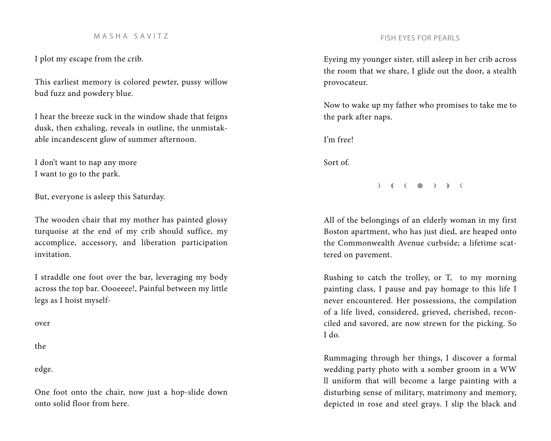### M A S H A S A V I T Z FISH EYES FOR PEARLS

I plot my escape from the crib.

This earliest memory is colored pewter, pussy willow bud fuzz and powdery blue.

I hear the breeze suck in the window shade that feigns dusk, then exhaling, reveals in outline, the unmistakable incandescent glow of summer afternoon.

I don't want to nap any more I want to go to the park.

But, everyone is asleep this Saturday.

The wooden chair that my mother has painted glossy turquoise at the end of my crib should suffice, my accomplice, accessory, and liberation participation invitation.

I straddle one foot over the bar, leveraging my body across the top bar. Oooeeee!, Painful between my little legs as I hoist myself-

over

the

edge.

One foot onto the chair, now just a hop-slide down onto solid floor from here.

Eyeing my younger sister, still asleep in her crib across the room that we share, I glide out the door, a stealth provocateur.

Now to wake up my father who promises to take me to the park after naps.

I'm free!

Sort of.

 $\begin{pmatrix} 1 & 1 \\ 0 & 1 \end{pmatrix}$ 

All of the belongings of an elderly woman in my first Boston apartment, who has just died, are heaped onto the Commonwealth Avenue curbside; a lifetime scattered on pavement.

Rushing to catch the trolley, or T, to my morning painting class, I pause and pay homage to this life I never encountered. Her possessions, the compilation of a life lived, considered, grieved, cherished, reconciled and savored, are now strewn for the picking. So I do.

Rummaging through her things, I discover a formal wedding party photo with a somber groom in a WW ll uniform that will become a large painting with a disturbing sense of military, matrimony and memory, depicted in rose and steel grays. I slip the black and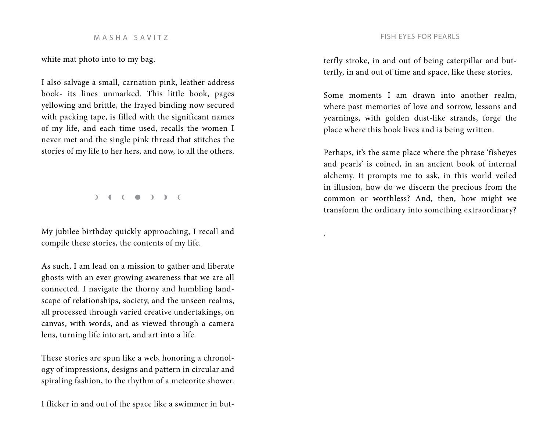white mat photo into to my bag.

I also salvage a small, carnation pink, leather address book- its lines unmarked. This little book, pages yellowing and brittle, the frayed binding now secured with packing tape, is filled with the significant names of my life, and each time used, recalls the women I never met and the single pink thread that stitches the stories of my life to her hers, and now, to all the others.

 $\begin{pmatrix} 1 & 1 \\ 0 & 1 \end{pmatrix}$ 

My jubilee birthday quickly approaching, I recall and compile these stories, the contents of my life.

As such, I am lead on a mission to gather and liberate ghosts with an ever growing awareness that we are all connected. I navigate the thorny and humbling landscape of relationships, society, and the unseen realms, all processed through varied creative undertakings, on canvas, with words, and as viewed through a camera lens, turning life into art, and art into a life.

These stories are spun like a web, honoring a chronology of impressions, designs and pattern in circular and spiraling fashion, to the rhythm of a meteorite shower.

I flicker in and out of the space like a swimmer in but-

terfly stroke, in and out of being caterpillar and butterfly, in and out of time and space, like these stories.

Some moments I am drawn into another realm, where past memories of love and sorrow, lessons and yearnings, with golden dust-like strands, forge the place where this book lives and is being written.

Perhaps, it's the same place where the phrase 'fisheyes and pearls' is coined, in an ancient book of internal alchemy. It prompts me to ask, in this world veiled in illusion, how do we discern the precious from the common or worthless? And, then, how might we transform the ordinary into something extraordinary?

.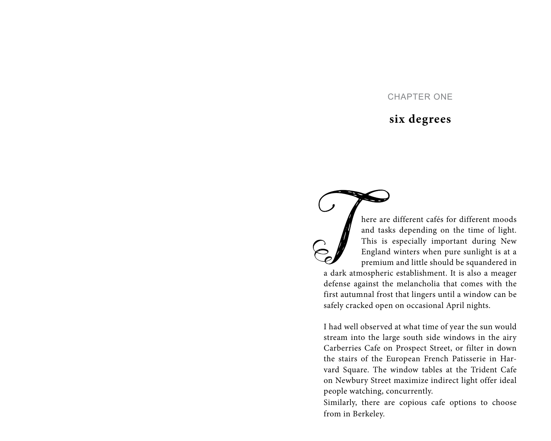# CHAPTER ONE

# **six degrees**

here are different cafés for different moods<br>and tasks depending on the time of light.<br>This is especially important during New<br>England winters when pure sunlight is at a<br>premium and little should be squandered in<br>a dark at here are different cafés for different moods and tasks depending on the time of light. This is especially important during New England winters when pure sunlight is at a premium and little should be squandered in defense against the melancholia that comes with the first autumnal frost that lingers until a window can be safely cracked open on occasional April nights.

I had well observed at what time of year the sun would stream into the large south side windows in the airy Carberries Cafe on Prospect Street, or filter in down the stairs of the European French Patisserie in Harvard Square. The window tables at the Trident Cafe on Newbury Street maximize indirect light offer ideal people watching, concurrently.

Similarly, there are copious cafe options to choose from in Berkeley.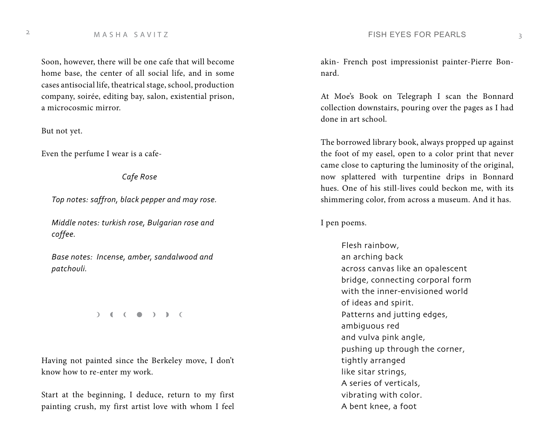Soon, however, there will be one cafe that will become home base, the center of all social life, and in some cases antisocial life, theatrical stage, school, production company, soirée, editing bay, salon, existential prison, a microcosmic mirror.

But not yet.

Even the perfume I wear is a cafe-

*Cafe Rose*

*Top notes: saffron, black pepper and may rose.*

*Middle notes: turkish rose, Bulgarian rose and coffee.* 

*Base notes: Incense, amber, sandalwood and patchouli.*

 $\begin{pmatrix} 1 & 1 \\ 0 & 1 \end{pmatrix}$ 

Having not painted since the Berkeley move, I don't know how to re-enter my work.

Start at the beginning, I deduce, return to my first painting crush, my first artist love with whom I feel akin- French post impressionist painter-Pierre Bonnard.

At Moe's Book on Telegraph I scan the Bonnard collection downstairs, pouring over the pages as I had done in art school.

The borrowed library book, always propped up against the foot of my easel, open to a color print that never came close to capturing the luminosity of the original, now splattered with turpentine drips in Bonnard hues. One of his still-lives could beckon me, with its shimmering color, from across a museum. And it has.

I pen poems.

Flesh rainbow, an arching back across canvas like an opalescent bridge, connecting corporal form with the inner-envisioned world of ideas and spirit. Patterns and jutting edges, ambiguous red and vulva pink angle, pushing up through the corner, tightly arranged like sitar strings, A series of verticals, vibrating with color. A bent knee, a foot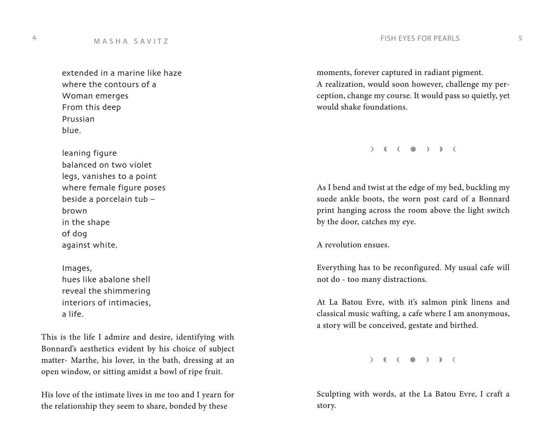extended in a marine like haze where the contours of a Woman emerges From this deep Prussian blue.

leaning figure balanced on two violet legs, vanishes to a point where female figure poses beside a porcelain tub – brown in the shape of dog against white.

Images, hues like abalone shell reveal the shimmering interiors of intimacies, a life.

This is the life I admire and desire, identifying with Bonnard's aesthetics evident by his choice of subject matter- Marthe, his lover, in the bath, dressing at an open window, or sitting amidst a bowl of ripe fruit.

His love of the intimate lives in me too and I yearn for the relationship they seem to share, bonded by these

moments, forever captured in radiant pigment. A realization, would soon however, challenge my perception, change my course. It would pass so quietly, yet would shake foundations.

 $\begin{pmatrix} 1 & 1 \\ 0 & 1 \end{pmatrix}$ 

As I bend and twist at the edge of my bed, buckling my suede ankle boots, the worn post card of a Bonnard print hanging across the room above the light switch by the door, catches my eye.

A revolution ensues.

Everything has to be reconfigured. My usual cafe will not do - too many distractions.

At La Batou Evre, with it's salmon pink linens and classical music wafting, a cafe where I am anonymous, a story will be conceived, gestate and birthed.

 $)$  (  $($   $)$  )  $)$   $($ 

Sculpting with words, at the La Batou Evre, I craft a story.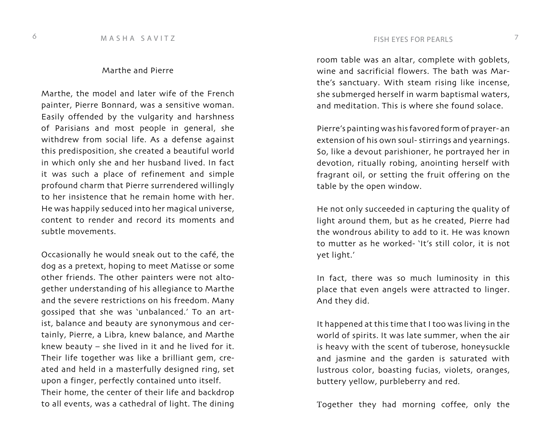### Marthe and Pierre

Marthe, the model and later wife of the French painter, Pierre Bonnard, was a sensitive woman. Easily offended by the vulgarity and harshness of Parisians and most people in general, she withdrew from social life. As a defense against this predisposition, she created a beautiful world in which only she and her husband lived. In fact it was such a place of refinement and simple profound charm that Pierre surrendered willingly to her insistence that he remain home with her. He was happily seduced into her magical universe, content to render and record its moments and subtle movements.

Occasionally he would sneak out to the café, the dog as a pretext, hoping to meet Matisse or some other friends. The other painters were not altogether understanding of his allegiance to Marthe and the severe restrictions on his freedom. Many gossiped that she was 'unbalanced.' To an artist, balance and beauty are synonymous and certainly, Pierre, a Libra, knew balance, and Marthe knew beauty – she lived in it and he lived for it. Their life together was like a brilliant gem, created and held in a masterfully designed ring, set upon a finger, perfectly contained unto itself. Their home, the center of their life and backdrop to all events, was a cathedral of light. The dining

room table was an altar, complete with goblets, wine and sacrificial flowers. The bath was Marthe's sanctuary. With steam rising like incense, she submerged herself in warm baptismal waters, and meditation. This is where she found solace.

Pierre's painting was his favored form of prayer- an extension of his own soul- stirrings and yearnings. So, like a devout parishioner, he portrayed her in devotion, ritually robing, anointing herself with fragrant oil, or setting the fruit offering on the table by the open window.

He not only succeeded in capturing the quality of light around them, but as he created, Pierre had the wondrous ability to add to it. He was known to mutter as he worked- 'It's still color, it is not yet light.'

In fact, there was so much luminosity in this place that even angels were attracted to linger. And they did.

It happened at this time that I too was living in the world of spirits. It was late summer, when the air is heavy with the scent of tuberose, honeysuckle and jasmine and the garden is saturated with lustrous color, boasting fucias, violets, oranges, buttery yellow, purbleberry and red.

Together they had morning coffee, only the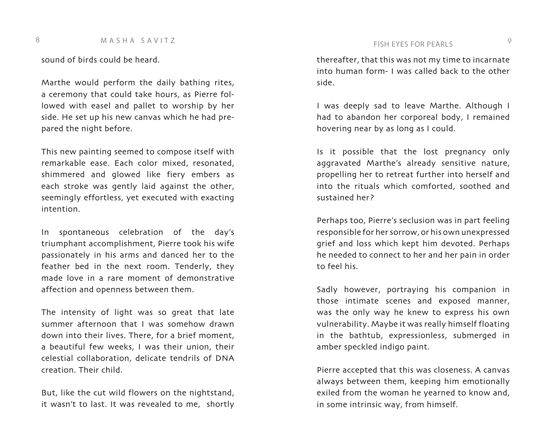sound of birds could be heard.

Marthe would perform the daily bathing rites, a ceremony that could take hours, as Pierre followed with easel and pallet to worship by her side. He set up his new canvas which he had prepared the night before.

This new painting seemed to compose itself with remarkable ease. Each color mixed, resonated, shimmered and glowed like fiery embers as each stroke was gently laid against the other, seemingly effortless, yet executed with exacting intention.

In spontaneous celebration of the day's triumphant accomplishment, Pierre took his wife passionately in his arms and danced her to the feather bed in the next room. Tenderly, they made love in a rare moment of demonstrative affection and openness between them.

The intensity of light was so great that late summer afternoon that I was somehow drawn down into their lives. There, for a brief moment, a beautiful few weeks, I was their union, their celestial collaboration, delicate tendrils of DNA creation. Their child.

But, like the cut wild flowers on the nightstand, it wasn't to last. It was revealed to me, shortly thereafter, that this was not my time to incarnate into human form- I was called back to the other side.

I was deeply sad to leave Marthe. Although I had to abandon her corporeal body, I remained hovering near by as long as I could.

Is it possible that the lost pregnancy only aggravated Marthe's already sensitive nature, propelling her to retreat further into herself and into the rituals which comforted, soothed and sustained her?

Perhaps too, Pierre's seclusion was in part feeling responsible for her sorrow, or his own unexpressed grief and loss which kept him devoted. Perhaps he needed to connect to her and her pain in order to feel his.

Sadly however, portraying his companion in those intimate scenes and exposed manner, was the only way he knew to express his own vulnerability. Maybe it was really himself floating in the bathtub, expressionless, submerged in amber speckled indigo paint.

Pierre accepted that this was closeness. A canvas always between them, keeping him emotionally exiled from the woman he yearned to know and, in some intrinsic way, from himself.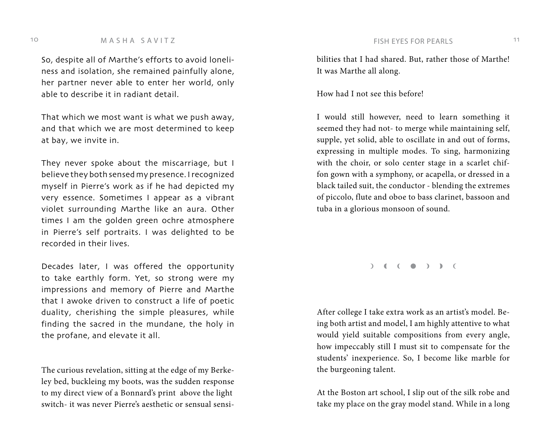### 10 M A S H A S A V I T Z CONTEXT CONTEXT TO THE RESERVES FOR PEARLS TO THE M A S H A S A V I T Z

So, despite all of Marthe's efforts to avoid loneliness and isolation, she remained painfully alone, her partner never able to enter her world, only able to describe it in radiant detail.

That which we most want is what we push away, and that which we are most determined to keep at bay, we invite in.

They never spoke about the miscarriage, but I believe they both sensed my presence. I recognized myself in Pierre's work as if he had depicted my very essence. Sometimes I appear as a vibrant violet surrounding Marthe like an aura. Other times I am the golden green ochre atmosphere in Pierre's self portraits. I was delighted to be recorded in their lives.

Decades later, I was offered the opportunity to take earthly form. Yet, so strong were my impressions and memory of Pierre and Marthe that I awoke driven to construct a life of poetic duality, cherishing the simple pleasures, while finding the sacred in the mundane, the holy in the profane, and elevate it all.

The curious revelation, sitting at the edge of my Berkeley bed, buckleing my boots, was the sudden response to my direct view of a Bonnard's print above the light switch- it was never Pierre's aesthetic or sensual sensibilities that I had shared. But, rather those of Marthe! It was Marthe all along.

How had I not see this before!

I would still however, need to learn something it seemed they had not- to merge while maintaining self, supple, yet solid, able to oscillate in and out of forms, expressing in multiple modes. To sing, harmonizing with the choir, or solo center stage in a scarlet chiffon gown with a symphony, or acapella, or dressed in a black tailed suit, the conductor - blending the extremes of piccolo, flute and oboe to bass clarinet, bassoon and tuba in a glorious monsoon of sound.

 $\begin{pmatrix} 1 & 1 \\ 0 & 1 \end{pmatrix}$ 

After college I take extra work as an artist's model. Being both artist and model, I am highly attentive to what would yield suitable compositions from every angle, how impeccably still I must sit to compensate for the students' inexperience. So, I become like marble for the burgeoning talent.

At the Boston art school, I slip out of the silk robe and take my place on the gray model stand. While in a long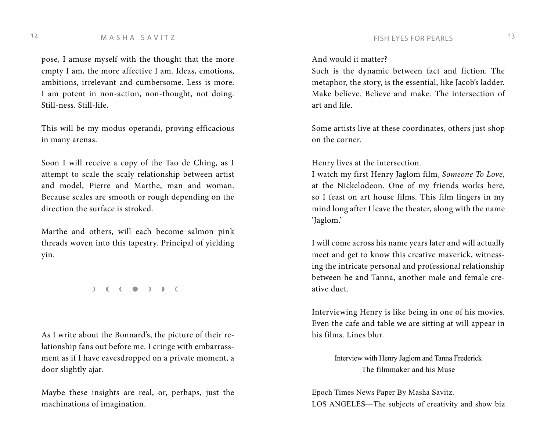# M A S H A S A V I T Z CONTEXAS TO REALLY THE RESPORT PEARLS THE M A S H A S A V I T Z

pose, I amuse myself with the thought that the more empty I am, the more affective I am. Ideas, emotions, ambitions, irrelevant and cumbersome. Less is more. I am potent in non-action, non-thought, not doing. Still-ness. Still-life.

This will be my modus operandi, proving efficacious in many arenas.

Soon I will receive a copy of the Tao de Ching, as I attempt to scale the scaly relationship between artist and model, Pierre and Marthe, man and woman. Because scales are smooth or rough depending on the direction the surface is stroked.

Marthe and others, will each become salmon pink threads woven into this tapestry. Principal of yielding yin.

 $\begin{pmatrix} 1 & 1 \\ 0 & 1 \end{pmatrix}$ 

As I write about the Bonnard's, the picture of their relationship fans out before me. I cringe with embarrassment as if I have eavesdropped on a private moment, a door slightly ajar.

Maybe these insights are real, or, perhaps, just the machinations of imagination.

### And would it matter?

Such is the dynamic between fact and fiction. The metaphor, the story, is the essential, like Jacob's ladder. Make believe. Believe and make. The intersection of art and life.

Some artists live at these coordinates, others just shop on the corner.

Henry lives at the intersection.

I watch my first Henry Jaglom film, *Someone To Love,* at the Nickelodeon. One of my friends works here, so I feast on art house films. This film lingers in my mind long after I leave the theater, along with the name 'Jaglom.'

I will come across his name years later and will actually meet and get to know this creative maverick, witnessing the intricate personal and professional relationship between he and Tanna, another male and female creative duet.

Interviewing Henry is like being in one of his movies. Even the cafe and table we are sitting at will appear in his films. Lines blur.

> Interview with Henry Jaglom and Tanna Frederick The filmmaker and his Muse

Epoch Times News Paper By Masha Savitz. LOS ANGELES—The subjects of creativity and show biz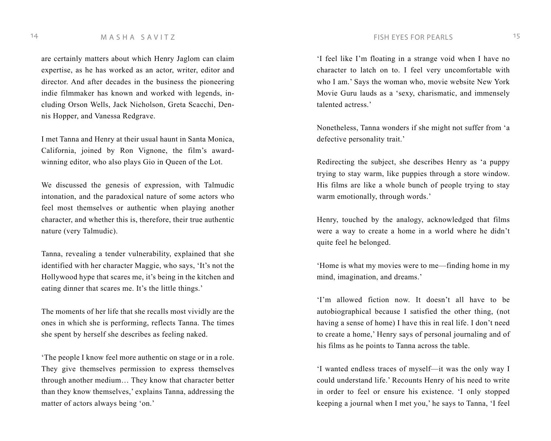### 14 M A S H A S A V I T Z FISH EYES FOR PEARLS 15

are certainly matters about which Henry Jaglom can claim expertise, as he has worked as an actor, writer, editor and director. And after decades in the business the pioneering indie filmmaker has known and worked with legends, including Orson Wells, Jack Nicholson, Greta Scacchi, Dennis Hopper, and Vanessa Redgrave.

I met Tanna and Henry at their usual haunt in Santa Monica, California, joined by Ron Vignone, the film's awardwinning editor, who also plays Gio in Queen of the Lot.

We discussed the genesis of expression, with Talmudic intonation, and the paradoxical nature of some actors who feel most themselves or authentic when playing another character, and whether this is, therefore, their true authentic nature (very Talmudic).

Tanna, revealing a tender vulnerability, explained that she identified with her character Maggie, who says, 'It's not the Hollywood hype that scares me, it's being in the kitchen and eating dinner that scares me. It's the little things.'

The moments of her life that she recalls most vividly are the ones in which she is performing, reflects Tanna. The times she spent by herself she describes as feeling naked.

'The people I know feel more authentic on stage or in a role. They give themselves permission to express themselves through another medium… They know that character better than they know themselves,' explains Tanna, addressing the matter of actors always being 'on.'

'I feel like I'm floating in a strange void when I have no character to latch on to. I feel very uncomfortable with who I am.' Says the woman who, movie website New York Movie Guru lauds as a 'sexy, charismatic, and immensely talented actress.'

Nonetheless, Tanna wonders if she might not suffer from 'a defective personality trait.'

Redirecting the subject, she describes Henry as 'a puppy trying to stay warm, like puppies through a store window. His films are like a whole bunch of people trying to stay warm emotionally, through words.'

Henry, touched by the analogy, acknowledged that films were a way to create a home in a world where he didn't quite feel he belonged.

'Home is what my movies were to me—finding home in my mind, imagination, and dreams.'

'I'm allowed fiction now. It doesn't all have to be autobiographical because I satisfied the other thing, (not having a sense of home) I have this in real life. I don't need to create a home,' Henry says of personal journaling and of his films as he points to Tanna across the table.

'I wanted endless traces of myself—it was the only way I could understand life.' Recounts Henry of his need to write in order to feel or ensure his existence. 'I only stopped keeping a journal when I met you,' he says to Tanna, 'I feel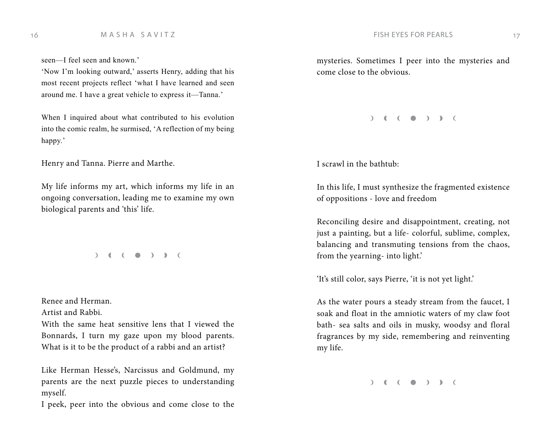seen—I feel seen and known.'

'Now I'm looking outward,' asserts Henry, adding that his most recent projects reflect 'what I have learned and seen around me. I have a great vehicle to express it—Tanna.'

When I inquired about what contributed to his evolution into the comic realm, he surmised, 'A reflection of my being happy.'

Henry and Tanna. Pierre and Marthe.

My life informs my art, which informs my life in an ongoing conversation, leading me to examine my own biological parents and 'this' life.

 $\begin{pmatrix} 1 & 1 \\ 1 & 1 \end{pmatrix}$ 

Renee and Herman.

Artist and Rabbi.

With the same heat sensitive lens that I viewed the Bonnards, I turn my gaze upon my blood parents. What is it to be the product of a rabbi and an artist?

Like Herman Hesse's, Narcissus and Goldmund, my parents are the next puzzle pieces to understanding myself.

I peek, peer into the obvious and come close to the

mysteries. Sometimes I peer into the mysteries and come close to the obvious.

 $\begin{pmatrix} 1 & 1 & 1 \\ 0 & 0 & 1 \end{pmatrix}$ 

I scrawl in the bathtub:

In this life, I must synthesize the fragmented existence of oppositions - love and freedom

Reconciling desire and disappointment, creating, not just a painting, but a life- colorful, sublime, complex, balancing and transmuting tensions from the chaos, from the yearning- into light.'

'It's still color, says Pierre, 'it is not yet light.'

As the water pours a steady stream from the faucet, I soak and float in the amniotic waters of my claw foot bath- sea salts and oils in musky, woodsy and floral fragrances by my side, remembering and reinventing my life.

 $( )$  (  $( )$  )  $)$  (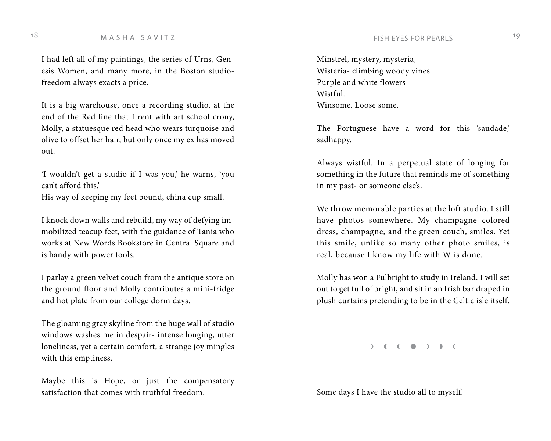# 18 M A S H A S A V I T Z  $^{19}$

I had left all of my paintings, the series of Urns, Genesis Women, and many more, in the Boston studiofreedom always exacts a price.

It is a big warehouse, once a recording studio, at the end of the Red line that I rent with art school crony, Molly, a statuesque red head who wears turquoise and olive to offset her hair, but only once my ex has moved out.

'I wouldn't get a studio if I was you,' he warns, 'you can't afford this.'

His way of keeping my feet bound, china cup small.

I knock down walls and rebuild, my way of defying immobilized teacup feet, with the guidance of Tania who works at New Words Bookstore in Central Square and is handy with power tools.

I parlay a green velvet couch from the antique store on the ground floor and Molly contributes a mini-fridge and hot plate from our college dorm days.

The gloaming gray skyline from the huge wall of studio windows washes me in despair- intense longing, utter loneliness, yet a certain comfort, a strange joy mingles with this emptiness.

Maybe this is Hope, or just the compensatory satisfaction that comes with truthful freedom.

Minstrel, mystery, mysteria, Wisteria- climbing woody vines Purple and white flowers Wistful. Winsome. Loose some.

The Portuguese have a word for this 'saudade,' sadhappy.

Always wistful. In a perpetual state of longing for something in the future that reminds me of something in my past- or someone else's.

We throw memorable parties at the loft studio. I still have photos somewhere. My champagne colored dress, champagne, and the green couch, smiles. Yet this smile, unlike so many other photo smiles, is real, because I know my life with W is done.

Molly has won a Fulbright to study in Ireland. I will set out to get full of bright, and sit in an Irish bar draped in plush curtains pretending to be in the Celtic isle itself.

 $( )$  (  $( )$  ) ) (

Some days I have the studio all to myself.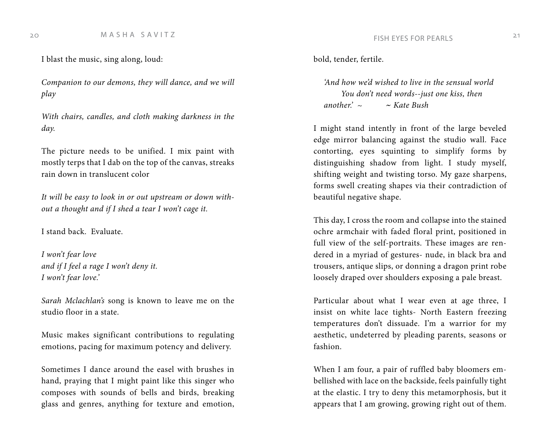I blast the music, sing along, loud:

*Companion to our demons, they will dance, and we will play*

*With chairs, candles, and cloth making darkness in the day.*

The picture needs to be unified. I mix paint with mostly terps that I dab on the top of the canvas, streaks rain down in translucent color

*It will be easy to look in or out upstream or down without a thought and if I shed a tear I won't cage it.*

I stand back. Evaluate.

*I won't fear love and if I feel a rage I won't deny it. I won't fear love.'* 

*Sarah Mclachlan's* song is known to leave me on the studio floor in a state.

Music makes significant contributions to regulating emotions, pacing for maximum potency and delivery.

Sometimes I dance around the easel with brushes in hand, praying that I might paint like this singer who composes with sounds of bells and birds, breaking glass and genres, anything for texture and emotion, bold, tender, fertile.

*'And how we'd wished to live in the sensual world You don't need words--just one kiss, then another.' ~* ~ *Kate Bush* 

I might stand intently in front of the large beveled edge mirror balancing against the studio wall. Face contorting, eyes squinting to simplify forms by distinguishing shadow from light. I study myself, shifting weight and twisting torso. My gaze sharpens, forms swell creating shapes via their contradiction of beautiful negative shape.

This day, I cross the room and collapse into the stained ochre armchair with faded floral print, positioned in full view of the self-portraits. These images are rendered in a myriad of gestures- nude, in black bra and trousers, antique slips, or donning a dragon print robe loosely draped over shoulders exposing a pale breast.

Particular about what I wear even at age three, I insist on white lace tights- North Eastern freezing temperatures don't dissuade. I'm a warrior for my aesthetic, undeterred by pleading parents, seasons or fashion.

When I am four, a pair of ruffled baby bloomers embellished with lace on the backside, feels painfully tight at the elastic. I try to deny this metamorphosis, but it appears that I am growing, growing right out of them.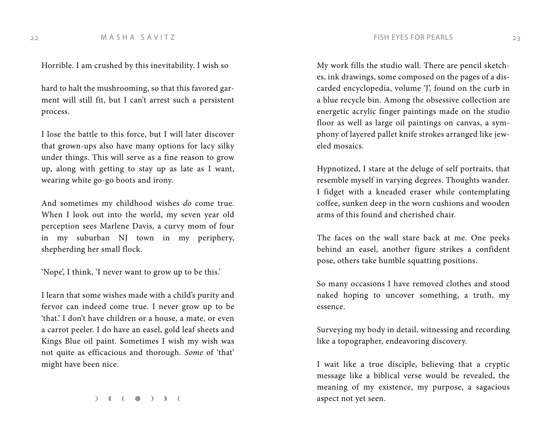22 M A S H A S A V I T Z CONTROL 23

Horrible. I am crushed by this inevitability. I wish so

hard to halt the mushrooming, so that this favored garment will still fit, but I can't arrest such a persistent process.

I lose the battle to this force, but I will later discover that grown-ups also have many options for lacy silky under things. This will serve as a fine reason to grow up, along with getting to stay up as late as I want, wearing white go-go boots and irony.

And sometimes my childhood wishes *do* come true. When I look out into the world, my seven year old perception sees Marlene Davis, a curvy mom of four in my suburban NJ town in my periphery, shepherding her small flock.

'Nope', I think, 'I never want to grow up to be this.'

I learn that some wishes made with a child's purity and fervor can indeed come true. I never grow up to be 'that.' I don't have children or a house, a mate, or even a carrot peeler. I do have an easel, gold leaf sheets and Kings Blue oil paint. Sometimes I wish my wish was not quite as efficacious and thorough. *Some* of 'that' might have been nice.

 $( )$  (  $( )$  )  $)$  (

My work fills the studio wall. There are pencil sketches, ink drawings, some composed on the pages of a discarded encyclopedia, volume 'J', found on the curb in a blue recycle bin. Among the obsessive collection are energetic acrylic finger paintings made on the studio floor as well as large oil paintings on canvas, a symphony of layered pallet knife strokes arranged like jeweled mosaics.

Hypnotized, I stare at the deluge of self portraits, that resemble myself in varying degrees. Thoughts wander. I fidget with a kneaded eraser while contemplating coffee, sunken deep in the worn cushions and wooden arms of this found and cherished chair.

The faces on the wall stare back at me. One peeks behind an easel, another figure strikes a confident pose, others take humble squatting positions.

So many occasions I have removed clothes and stood naked hoping to uncover something, a truth, my essence.

Surveying my body in detail, witnessing and recording like a topographer, endeavoring discovery.

I wait like a true disciple, believing that a cryptic message like a biblical verse would be revealed, the meaning of my existence, my purpose, a sagacious aspect not yet seen.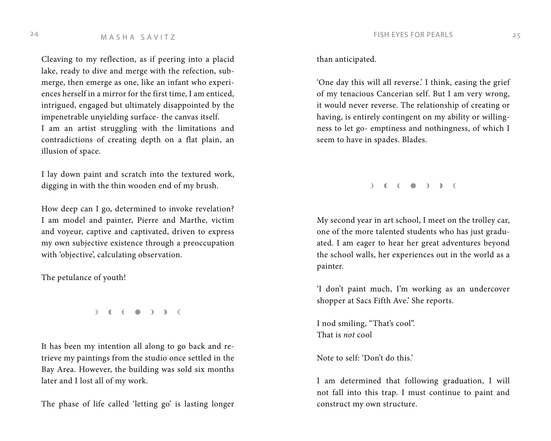# 24 M A S H A S A V I T Z CONTEXAS TRISH EYES FOR PEARLS 25

Cleaving to my reflection, as if peering into a placid lake, ready to dive and merge with the refection, submerge, then emerge as one, like an infant who experiences herself in a mirror for the first time, I am enticed, intrigued, engaged but ultimately disappointed by the impenetrable unyielding surface- the canvas itself. I am an artist struggling with the limitations and contradictions of creating depth on a flat plain, an illusion of space.

I lay down paint and scratch into the textured work, digging in with the thin wooden end of my brush.

How deep can I go, determined to invoke revelation? I am model and painter, Pierre and Marthe, victim and voyeur, captive and captivated, driven to express my own subjective existence through a preoccupation with 'objective', calculating observation.

The petulance of youth!

 $\begin{pmatrix} 1 & 1 \\ 0 & 1 \end{pmatrix}$ 

It has been my intention all along to go back and retrieve my paintings from the studio once settled in the Bay Area. However, the building was sold six months later and I lost all of my work.

The phase of life called 'letting go' is lasting longer

than anticipated.

'One day this will all reverse.' I think, easing the grief of my tenacious Cancerian self. But I am very wrong, it would never reverse. The relationship of creating or having, is entirely contingent on my ability or willingness to let go- emptiness and nothingness, of which I seem to have in spades. Blades.

My second year in art school, I meet on the trolley car, one of the more talented students who has just graduated. I am eager to hear her great adventures beyond the school walls, her experiences out in the world as a painter.

'I don't paint much, I'm working as an undercover shopper at Sacs Fifth Ave.' She reports.

I nod smiling, "That's cool". That is *not* cool

Note to self: 'Don't do this.'

I am determined that following graduation, I will not fall into this trap. I must continue to paint and construct my own structure.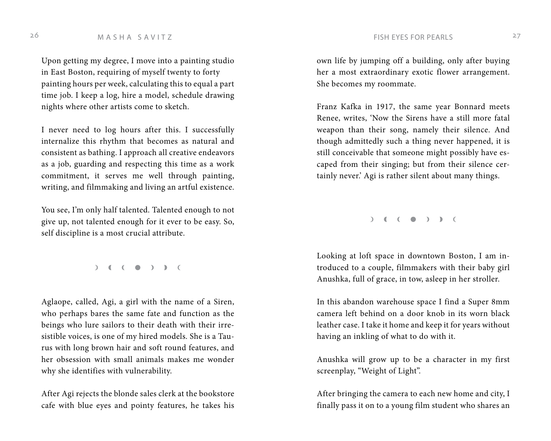Upon getting my degree, I move into a painting studio in East Boston, requiring of myself twenty to forty painting hours per week, calculating this to equal a part time job. I keep a log, hire a model, schedule drawing nights where other artists come to sketch.

I never need to log hours after this. I successfully internalize this rhythm that becomes as natural and consistent as bathing. I approach all creative endeavors as a job, guarding and respecting this time as a work commitment, it serves me well through painting, writing, and filmmaking and living an artful existence.

You see, I'm only half talented. Talented enough to not give up, not talented enough for it ever to be easy. So, self discipline is a most crucial attribute.

 $( ) ( ) ( ) ( )$ 

Aglaope, called, Agi, a girl with the name of a Siren, who perhaps bares the same fate and function as the beings who lure sailors to their death with their irresistible voices, is one of my hired models. She is a Taurus with long brown hair and soft round features, and her obsession with small animals makes me wonder why she identifies with vulnerability.

After Agi rejects the blonde sales clerk at the bookstore cafe with blue eyes and pointy features, he takes his own life by jumping off a building, only after buying her a most extraordinary exotic flower arrangement. She becomes my roommate.

Franz Kafka in 1917, the same year Bonnard meets Renee, writes, 'Now the Sirens have a still more fatal weapon than their song, namely their silence. And though admittedly such a thing never happened, it is still conceivable that someone might possibly have escaped from their singing; but from their silence certainly never.' Agi is rather silent about many things.

 $\begin{pmatrix} 1 & 1 \\ 0 & 1 \end{pmatrix}$ 

Looking at loft space in downtown Boston, I am introduced to a couple, filmmakers with their baby girl Anushka, full of grace, in tow, asleep in her stroller.

In this abandon warehouse space I find a Super 8mm camera left behind on a door knob in its worn black leather case. I take it home and keep it for years without having an inkling of what to do with it.

Anushka will grow up to be a character in my first screenplay, "Weight of Light".

After bringing the camera to each new home and city, I finally pass it on to a young film student who shares an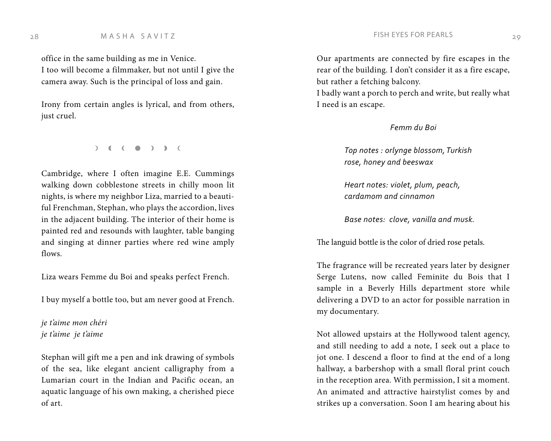# 28 M A S H A S A V I T Z C 29

office in the same building as me in Venice. I too will become a filmmaker, but not until I give the camera away. Such is the principal of loss and gain.

Irony from certain angles is lyrical, and from others, just cruel.

 $)$  ( (  $\bullet$  ) ) (

Cambridge, where I often imagine E.E. Cummings walking down cobblestone streets in chilly moon lit nights, is where my neighbor Liza, married to a beautiful Frenchman, Stephan, who plays the accordion, lives in the adjacent building. The interior of their home is painted red and resounds with laughter, table banging and singing at dinner parties where red wine amply flows.

Liza wears Femme du Boi and speaks perfect French.

I buy myself a bottle too, but am never good at French.

*je t'aime mon chéri je t'aime je t'aime*

Stephan will gift me a pen and ink drawing of symbols of the sea, like elegant ancient calligraphy from a Lumarian court in the Indian and Pacific ocean, an aquatic language of his own making, a cherished piece of art.

Our apartments are connected by fire escapes in the rear of the building. I don't consider it as a fire escape, but rather a fetching balcony.

I badly want a porch to perch and write, but really what I need is an escape.

### *Femm du Boi*

*Top notes : orlynge blossom, Turkish rose, honey and beeswax* 

*Heart notes: violet, plum, peach, cardamom and cinnamon* 

*Base notes: clove, vanilla and musk.*

The languid bottle is the color of dried rose petals.

The fragrance will be recreated years later by designer Serge Lutens, now called Feminite du Bois that I sample in a Beverly Hills department store while delivering a DVD to an actor for possible narration in my documentary.

Not allowed upstairs at the Hollywood talent agency, and still needing to add a note, I seek out a place to jot one. I descend a floor to find at the end of a long hallway, a barbershop with a small floral print couch in the reception area. With permission, I sit a moment. An animated and attractive hairstylist comes by and strikes up a conversation. Soon I am hearing about his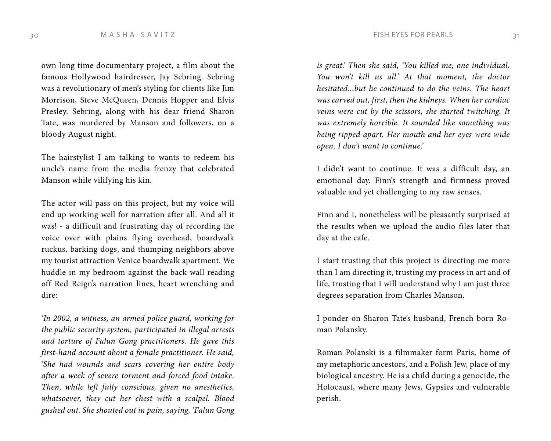own long time documentary project, a film about the famous Hollywood hairdresser, Jay Sebring. Sebring was a revolutionary of men's styling for clients like Jim Morrison, Steve McQueen, Dennis Hopper and Elvis Presley. Sebring, along with his dear friend Sharon Tate, was murdered by Manson and followers, on a bloody August night.

The hairstylist I am talking to wants to redeem his uncle's name from the media frenzy that celebrated Manson while vilifying his kin.

The actor will pass on this project, but my voice will end up working well for narration after all. And all it was! - a difficult and frustrating day of recording the voice over with plains flying overhead, boardwalk ruckus, barking dogs, and thumping neighbors above my tourist attraction Venice boardwalk apartment. We huddle in my bedroom against the back wall reading off Red Reign's narration lines, heart wrenching and dire:

*'In 2002, a witness, an armed police guard, working for the public security system, participated in illegal arrests and torture of Falun Gong practitioners. He gave this first-hand account about a female practitioner. He said, 'She had wounds and scars covering her entire body after a week of severe torment and forced food intake. Then, while left fully conscious, given no anesthetics, whatsoever, they cut her chest with a scalpel. Blood gushed out. She shouted out in pain, saying, 'Falun Gong* 

*is great.' Then she said, 'You killed me; one individual. You won't kill us all.' At that moment, the doctor hesitated...but he continued to do the veins. The heart was carved out, first, then the kidneys. When her cardiac veins were cut by the scissors, she started twitching. It was extremely horrible. It sounded like something was being ripped apart. Her mouth and her eyes were wide open. I don't want to continue.'*

I didn't want to continue. It was a difficult day, an emotional day. Finn's strength and firmness proved valuable and yet challenging to my raw senses.

Finn and I, nonetheless will be pleasantly surprised at the results when we upload the audio files later that day at the cafe.

I start trusting that this project is directing me more than I am directing it, trusting my process in art and of life, trusting that I will understand why I am just three degrees separation from Charles Manson.

I ponder on Sharon Tate's husband, French born Roman Polansky.

Roman Polanski is a filmmaker form Paris, home of my metaphoric ancestors, and a Polish Jew, place of my biological ancestry. He is a child during a genocide, the Holocaust, where many Jews, Gypsies and vulnerable perish.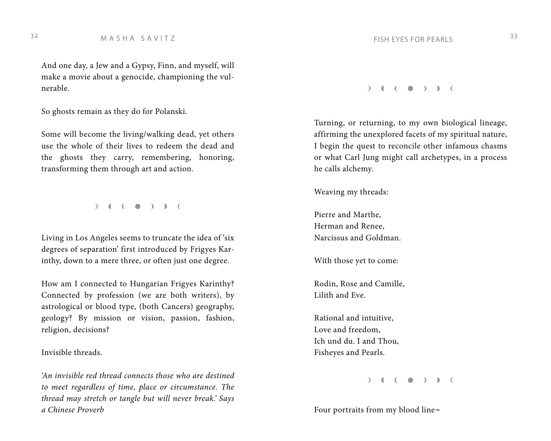And one day, a Jew and a Gypsy, Finn, and myself, will make a movie about a genocide, championing the vulnerable.

So ghosts remain as they do for Polanski.

Some will become the living/walking dead, yet others use the whole of their lives to redeem the dead and the ghosts they carry, remembering, honoring, transforming them through art and action.

 $)$  (  $($   $)$  ) )  $($ 

Living in Los Angeles seems to truncate the idea of 'six degrees of separation' first introduced by Frigyes Karinthy, down to a mere three, or often just one degree.

How am I connected to Hungarian Frigyes Karinthy? Connected by profession (we are both writers), by astrological or blood type, (both Cancers) geography, geology? By mission or vision, passion, fashion, religion, decisions?

Invisible threads.

*'An invisible red thread connects those who are destined to meet regardless of time, place or circumstance. The thread may stretch or tangle but will never break.' Says a Chinese Proverb*

M A S H A S A V I T Z 33

### $)$  (  $($   $)$  )  $)$  (

Turning, or returning, to my own biological lineage, affirming the unexplored facets of my spiritual nature, I begin the quest to reconcile other infamous chasms or what Carl Jung might call archetypes, in a process he calls alchemy.

Weaving my threads:

Pierre and Marthe, Herman and Renee, Narcissus and Goldman.

With those yet to come:

Rodin, Rose and Camille, Lilith and Eve.

Rational and intuitive, Love and freedom, Ich und du. I and Thou, Fisheyes and Pearls.

 $\begin{pmatrix} 1 & 1 \\ 0 & 1 \end{pmatrix}$ 

Four portraits from my blood line~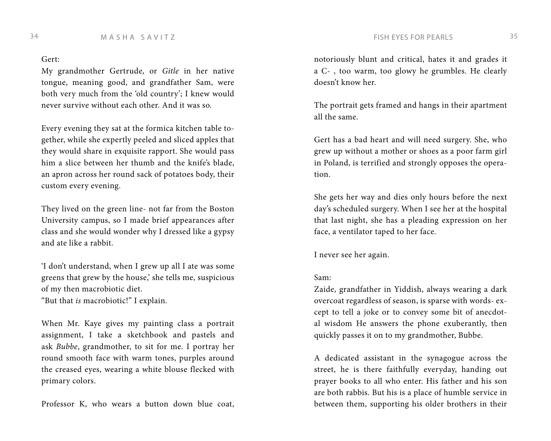Gert:

My grandmother Gertrude, or *Gitle* in her native tongue, meaning good, and grandfather Sam, were both very much from the 'old country'; I knew would never survive without each other. And it was so.

Every evening they sat at the formica kitchen table together, while she expertly peeled and sliced apples that they would share in exquisite rapport. She would pass him a slice between her thumb and the knife's blade, an apron across her round sack of potatoes body, their custom every evening.

They lived on the green line- not far from the Boston University campus, so I made brief appearances after class and she would wonder why I dressed like a gypsy and ate like a rabbit.

'I don't understand, when I grew up all I ate was some greens that grew by the house,' she tells me, suspicious of my then macrobiotic diet. "But that *is* macrobiotic!" I explain.

When Mr. Kaye gives my painting class a portrait assignment, I take a sketchbook and pastels and ask *Bubbe*, grandmother, to sit for me. I portray her round smooth face with warm tones, purples around the creased eyes, wearing a white blouse flecked with primary colors.

Professor K, who wears a button down blue coat,

notoriously blunt and critical, hates it and grades it a C- , too warm, too glowy he grumbles. He clearly doesn't know her.

The portrait gets framed and hangs in their apartment all the same.

Gert has a bad heart and will need surgery. She, who grew up without a mother or shoes as a poor farm girl in Poland, is terrified and strongly opposes the operation.

She gets her way and dies only hours before the next day's scheduled surgery. When I see her at the hospital that last night, she has a pleading expression on her face, a ventilator taped to her face.

I never see her again.

### Sam:

Zaide, grandfather in Yiddish, always wearing a dark overcoat regardless of season, is sparse with words- except to tell a joke or to convey some bit of anecdotal wisdom He answers the phone exuberantly, then quickly passes it on to my grandmother, Bubbe.

A dedicated assistant in the synagogue across the street, he is there faithfully everyday, handing out prayer books to all who enter. His father and his son are both rabbis. But his is a place of humble service in between them, supporting his older brothers in their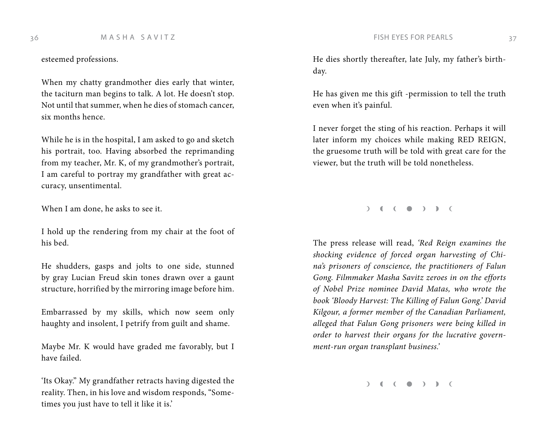esteemed professions.

When my chatty grandmother dies early that winter, the taciturn man begins to talk. A lot. He doesn't stop. Not until that summer, when he dies of stomach cancer, six months hence.

While he is in the hospital, I am asked to go and sketch his portrait, too. Having absorbed the reprimanding from my teacher, Mr. K, of my grandmother's portrait, I am careful to portray my grandfather with great accuracy, unsentimental.

When I am done, he asks to see it.

I hold up the rendering from my chair at the foot of his bed.

He shudders, gasps and jolts to one side, stunned by gray Lucian Freud skin tones drawn over a gaunt structure, horrified by the mirroring image before him.

Embarrassed by my skills, which now seem only haughty and insolent, I petrify from guilt and shame.

Maybe Mr. K would have graded me favorably, but I have failed.

'Its Okay." My grandfather retracts having digested the reality. Then, in his love and wisdom responds, "Sometimes you just have to tell it like it is.'

He dies shortly thereafter, late July, my father's birthday.

He has given me this gift -permission to tell the truth even when it's painful.

I never forget the sting of his reaction. Perhaps it will later inform my choices while making RED REIGN, the gruesome truth will be told with great care for the viewer, but the truth will be told nonetheless.

 $)$  (  $($   $)$  )  $)$   $($ 

The press release will read, *'Red Reign examines the shocking evidence of forced organ harvesting of China's prisoners of conscience, the practitioners of Falun Gong. Filmmaker Masha Savitz zeroes in on the efforts of Nobel Prize nominee David Matas, who wrote the book 'Bloody Harvest: The Killing of Falun Gong.' David Kilgour, a former member of the Canadian Parliament, alleged that Falun Gong prisoners were being killed in order to harvest their organs for the lucrative government-run organ transplant business.'*

 $( )$  (  $( )$  )  $)$  (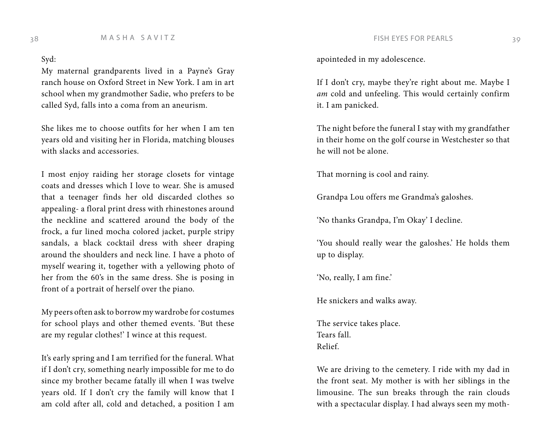Syd:

My maternal grandparents lived in a Payne's Gray ranch house on Oxford Street in New York. I am in art school when my grandmother Sadie, who prefers to be called Syd, falls into a coma from an aneurism.

She likes me to choose outfits for her when I am ten years old and visiting her in Florida, matching blouses with slacks and accessories.

I most enjoy raiding her storage closets for vintage coats and dresses which I love to wear. She is amused that a teenager finds her old discarded clothes so appealing- a floral print dress with rhinestones around the neckline and scattered around the body of the frock, a fur lined mocha colored jacket, purple stripy sandals, a black cocktail dress with sheer draping around the shoulders and neck line. I have a photo of myself wearing it, together with a yellowing photo of her from the 60's in the same dress. She is posing in front of a portrait of herself over the piano.

My peers often ask to borrow my wardrobe for costumes for school plays and other themed events. 'But these are my regular clothes!' I wince at this request.

It's early spring and I am terrified for the funeral. What if I don't cry, something nearly impossible for me to do since my brother became fatally ill when I was twelve years old. If I don't cry the family will know that I am cold after all, cold and detached, a position I am apointeded in my adolescence.

If I don't cry, maybe they're right about me. Maybe I *am* cold and unfeeling. This would certainly confirm it. I am panicked.

The night before the funeral I stay with my grandfather in their home on the golf course in Westchester so that he will not be alone.

That morning is cool and rainy.

Grandpa Lou offers me Grandma's galoshes.

'No thanks Grandpa, I'm Okay' I decline.

'You should really wear the galoshes.' He holds them up to display.

'No, really, I am fine.'

He snickers and walks away.

The service takes place. Tears fall. Relief.

We are driving to the cemetery. I ride with my dad in the front seat. My mother is with her siblings in the limousine. The sun breaks through the rain clouds with a spectacular display. I had always seen my moth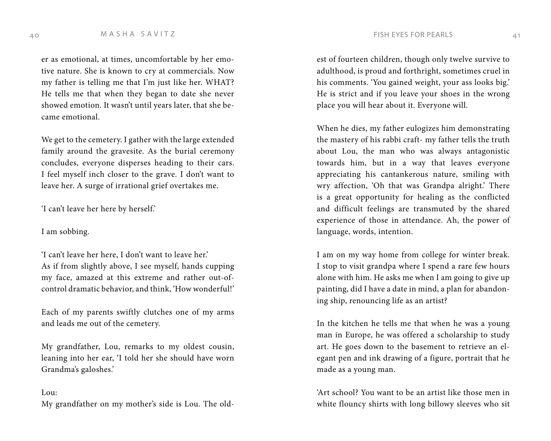er as emotional, at times, uncomfortable by her emotive nature. She is known to cry at commercials. Now my father is telling me that I'm just like her. WHAT? He tells me that when they began to date she never showed emotion. It wasn't until years later, that she became emotional.

We get to the cemetery. I gather with the large extended family around the gravesite. As the burial ceremony concludes, everyone disperses heading to their cars. I feel myself inch closer to the grave. I don't want to leave her. A surge of irrational grief overtakes me.

'I can't leave her here by herself.'

### I am sobbing.

'I can't leave her here, I don't want to leave her.' As if from slightly above, I see myself, hands cupping my face, amazed at this extreme and rather out-ofcontrol dramatic behavior, and think, 'How wonderful!'

Each of my parents swiftly clutches one of my arms and leads me out of the cemetery.

My grandfather, Lou, remarks to my oldest cousin, leaning into her ear, 'I told her she should have worn Grandma's galoshes.'

### Lou:

My grandfather on my mother's side is Lou. The old-

est of fourteen children, though only twelve survive to adulthood, is proud and forthright, sometimes cruel in his comments. 'You gained weight, your ass looks big.' He is strict and if you leave your shoes in the wrong place you will hear about it. Everyone will.

When he dies, my father eulogizes him demonstrating the mastery of his rabbi craft- my father tells the truth about Lou, the man who was always antagonistic towards him, but in a way that leaves everyone appreciating his cantankerous nature, smiling with wry affection, 'Oh that was Grandpa alright.' There is a great opportunity for healing as the conflicted and difficult feelings are transmuted by the shared experience of those in attendance. Ah, the power of language, words, intention.

I am on my way home from college for winter break. I stop to visit grandpa where I spend a rare few hours alone with him. He asks me when I am going to give up painting, did I have a date in mind, a plan for abandoning ship, renouncing life as an artist?

In the kitchen he tells me that when he was a young man in Europe, he was offered a scholarship to study art. He goes down to the basement to retrieve an elegant pen and ink drawing of a figure, portrait that he made as a young man.

'Art school? You want to be an artist like those men in white flouncy shirts with long billowy sleeves who sit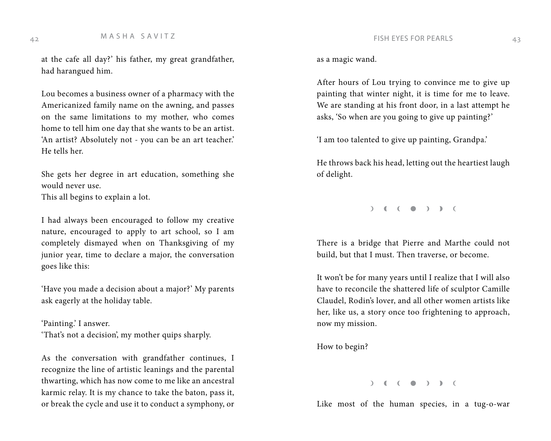at the cafe all day?' his father, my great grandfather, had harangued him.

Lou becomes a business owner of a pharmacy with the Americanized family name on the awning, and passes on the same limitations to my mother, who comes home to tell him one day that she wants to be an artist. 'An artist? Absolutely not - you can be an art teacher.' He tells her.

She gets her degree in art education, something she would never use.

This all begins to explain a lot.

I had always been encouraged to follow my creative nature, encouraged to apply to art school, so I am completely dismayed when on Thanksgiving of my junior year, time to declare a major, the conversation goes like this:

'Have you made a decision about a major?' My parents ask eagerly at the holiday table.

'Painting.' I answer.

'That's not a decision', my mother quips sharply.

As the conversation with grandfather continues, I recognize the line of artistic leanings and the parental thwarting, which has now come to me like an ancestral karmic relay. It is my chance to take the baton, pass it, or break the cycle and use it to conduct a symphony, or as a magic wand.

After hours of Lou trying to convince me to give up painting that winter night, it is time for me to leave. We are standing at his front door, in a last attempt he asks, 'So when are you going to give up painting?'

'I am too talented to give up painting, Grandpa.'

He throws back his head, letting out the heartiest laugh of delight.

 $\begin{pmatrix} 1 & 1 \\ 0 & 1 \end{pmatrix}$ 

There is a bridge that Pierre and Marthe could not build, but that I must. Then traverse, or become.

It won't be for many years until I realize that I will also have to reconcile the shattered life of sculptor Camille Claudel, Rodin's lover, and all other women artists like her, like us, a story once too frightening to approach, now my mission.

How to begin?

### $\begin{pmatrix} 1 & 1 \\ 0 & 1 \end{pmatrix}$

Like most of the human species, in a tug-o-war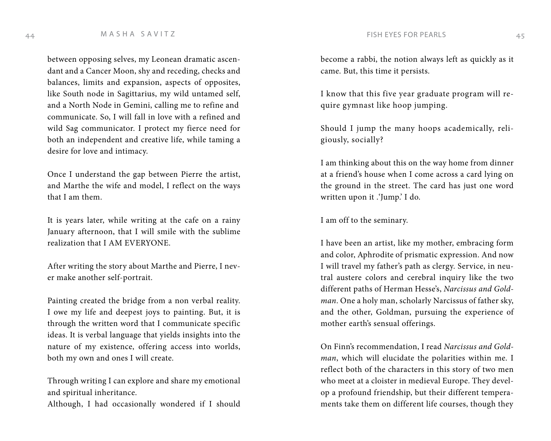# 44 M A S H A S A V I T Z  $\begin{array}{c} 4 \end{array}$  T FISH EYES FOR PEARLS 45

between opposing selves, my Leonean dramatic ascendant and a Cancer Moon, shy and receding, checks and balances, limits and expansion, aspects of opposites, like South node in Sagittarius, my wild untamed self, and a North Node in Gemini, calling me to refine and communicate. So, I will fall in love with a refined and wild Sag communicator. I protect my fierce need for both an independent and creative life, while taming a desire for love and intimacy.

Once I understand the gap between Pierre the artist, and Marthe the wife and model, I reflect on the ways that I am them.

It is years later, while writing at the cafe on a rainy January afternoon, that I will smile with the sublime realization that I AM EVERYONE.

After writing the story about Marthe and Pierre, I never make another self-portrait.

Painting created the bridge from a non verbal reality. I owe my life and deepest joys to painting. But, it is through the written word that I communicate specific ideas. It is verbal language that yields insights into the nature of my existence, offering access into worlds, both my own and ones I will create.

Through writing I can explore and share my emotional and spiritual inheritance.

Although, I had occasionally wondered if I should

become a rabbi, the notion always left as quickly as it came. But, this time it persists.

I know that this five year graduate program will require gymnast like hoop jumping.

Should I jump the many hoops academically, religiously, socially?

I am thinking about this on the way home from dinner at a friend's house when I come across a card lying on the ground in the street. The card has just one word written upon it .'Jump.' I do.

I am off to the seminary.

I have been an artist, like my mother, embracing form and color, Aphrodite of prismatic expression. And now I will travel my father's path as clergy. Service, in neutral austere colors and cerebral inquiry like the two different paths of Herman Hesse's, *Narcissus and Goldman*. One a holy man, scholarly Narcissus of father sky, and the other, Goldman, pursuing the experience of mother earth's sensual offerings.

On Finn's recommendation, I read *Narcissus and Goldman*, which will elucidate the polarities within me. I reflect both of the characters in this story of two men who meet at a cloister in medieval Europe. They develop a profound friendship, but their different temperaments take them on different life courses, though they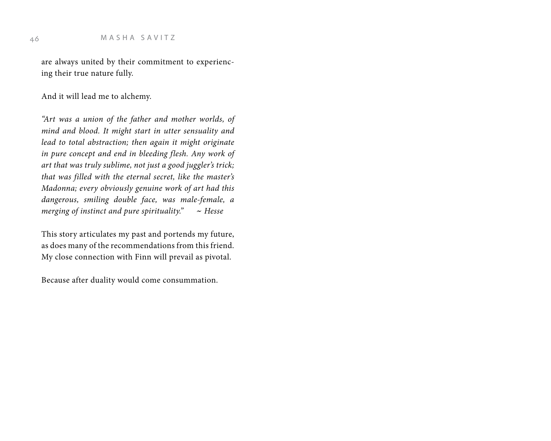are always united by their commitment to experiencing their true nature fully.

And it will lead me to alchemy.

*"Art was a union of the father and mother worlds, of mind and blood. It might start in utter sensuality and lead to total abstraction; then again it might originate in pure concept and end in bleeding flesh. Any work of art that was truly sublime, not just a good juggler's trick; that was filled with the eternal secret, like the master's Madonna; every obviously genuine work of art had this dangerous, smiling double face, was male-female, a merging of instinct and pure spirituality."* ~ *Hesse*

This story articulates my past and portends my future, as does many of the recommendations from this friend. My close connection with Finn will prevail as pivotal.

Because after duality would come consummation.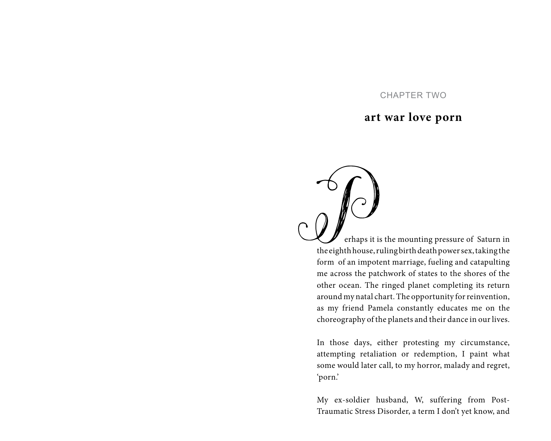# CHAPTER TWO

# **art war love porn**

 $\int_{0}^{1}$ erhaps it is the mounting pressure of Saturn in the eighth house, ruling birth death power sex, taking the form of an impotent marriage, fueling and catapulting me across the patchwork of states to the shores of the other ocean. The ringed planet completing its return around my natal chart. The opportunity for reinvention, as my friend Pamela constantly educates me on the choreography of the planets and their dance in our lives.

In those days, either protesting my circumstance, attempting retaliation or redemption, I paint what some would later call, to my horror, malady and regret, 'porn.'

My ex-soldier husband, W, suffering from Post-Traumatic Stress Disorder, a term I don't yet know, and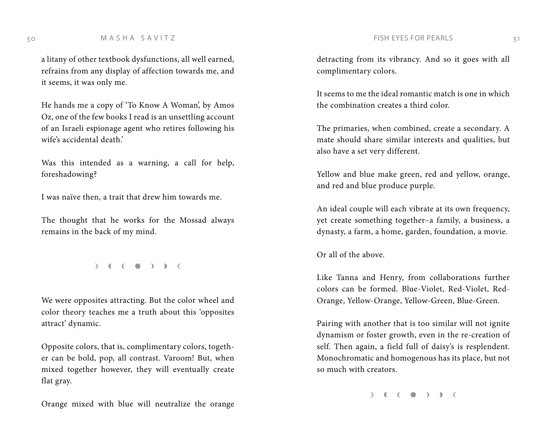a litany of other textbook dysfunctions, all well earned, refrains from any display of affection towards me, and it seems, it was only me.

He hands me a copy of 'To Know A Woman', by Amos Oz, one of the few books I read is an unsettling account of an Israeli espionage agent who retires following his wife's accidental death.'

Was this intended as a warning, a call for help, foreshadowing?

I was naïve then, a trait that drew him towards me.

The thought that he works for the Mossad always remains in the back of my mind.

 $\begin{pmatrix} 1 & 1 \\ 0 & 1 \end{pmatrix}$ 

We were opposites attracting. But the color wheel and color theory teaches me a truth about this 'opposites attract' dynamic.

Opposite colors, that is, complimentary colors, together can be bold, pop, all contrast. Varoom! But, when mixed together however, they will eventually create flat gray.

Orange mixed with blue will neutralize the orange

detracting from its vibrancy. And so it goes with all complimentary colors.

It seems to me the ideal romantic match is one in which the combination creates a third color.

The primaries, when combined, create a secondary. A mate should share similar interests and qualities, but also have a set very different.

Yellow and blue make green, red and yellow, orange, and red and blue produce purple.

An ideal couple will each vibrate at its own frequency, yet create something together–a family, a business, a dynasty, a farm, a home, garden, foundation, a movie.

Or all of the above.

Like Tanna and Henry, from collaborations further colors can be formed. Blue-Violet, Red-Violet, Red-Orange, Yellow-Orange, Yellow-Green, Blue-Green.

Pairing with another that is too similar will not ignite dynamism or foster growth, even in the re-creation of self. Then again, a field full of daisy's is resplendent. Monochromatic and homogenous has its place, but not so much with creators.

 $\begin{pmatrix} 1 & 1 \\ 0 & 1 \end{pmatrix}$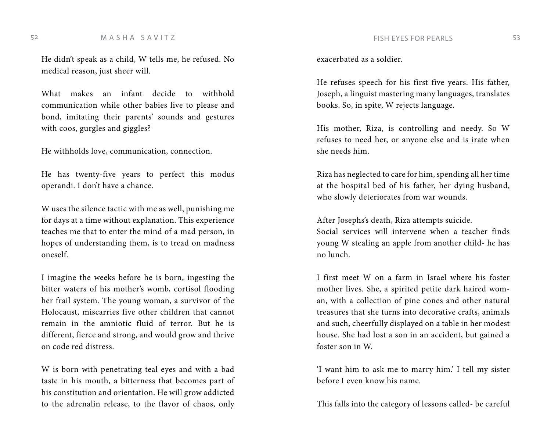52 M A S H A S A V I T Z STATES FOR PEARLS 53

He didn't speak as a child, W tells me, he refused. No medical reason, just sheer will.

What makes an infant decide to withhold communication while other babies live to please and bond, imitating their parents' sounds and gestures with coos, gurgles and giggles?

He withholds love, communication, connection.

He has twenty-five years to perfect this modus operandi. I don't have a chance.

W uses the silence tactic with me as well, punishing me for days at a time without explanation. This experience teaches me that to enter the mind of a mad person, in hopes of understanding them, is to tread on madness oneself.

I imagine the weeks before he is born, ingesting the bitter waters of his mother's womb, cortisol flooding her frail system. The young woman, a survivor of the Holocaust, miscarries five other children that cannot remain in the amniotic fluid of terror. But he is different, fierce and strong, and would grow and thrive on code red distress.

W is born with penetrating teal eyes and with a bad taste in his mouth, a bitterness that becomes part of his constitution and orientation. He will grow addicted to the adrenalin release, to the flavor of chaos, only exacerbated as a soldier.

He refuses speech for his first five years. His father, Joseph, a linguist mastering many languages, translates books. So, in spite, W rejects language.

His mother, Riza, is controlling and needy. So W refuses to need her, or anyone else and is irate when she needs him.

Riza has neglected to care for him, spending all her time at the hospital bed of his father, her dying husband, who slowly deteriorates from war wounds.

After Josephs's death, Riza attempts suicide. Social services will intervene when a teacher finds young W stealing an apple from another child- he has no lunch.

I first meet W on a farm in Israel where his foster mother lives. She, a spirited petite dark haired woman, with a collection of pine cones and other natural treasures that she turns into decorative crafts, animals and such, cheerfully displayed on a table in her modest house. She had lost a son in an accident, but gained a foster son in W.

'I want him to ask me to marry him.' I tell my sister before I even know his name.

This falls into the category of lessons called- be careful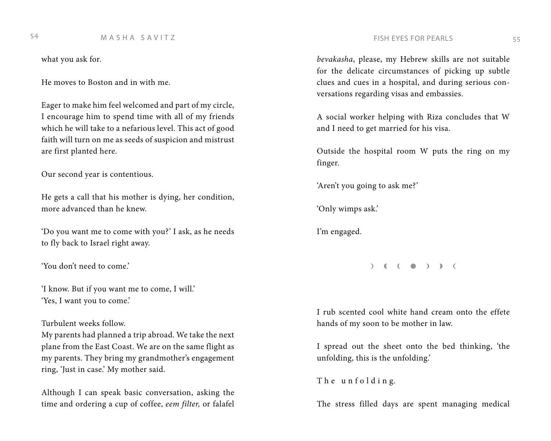# M A S H A S A V I T Z FISH EYES FOR PEARLS 54 55

what you ask for.

He moves to Boston and in with me.

Eager to make him feel welcomed and part of my circle, I encourage him to spend time with all of my friends which he will take to a nefarious level. This act of good faith will turn on me as seeds of suspicion and mistrust are first planted here.

Our second year is contentious.

He gets a call that his mother is dying, her condition, more advanced than he knew.

'Do you want me to come with you?' I ask, as he needs to fly back to Israel right away.

'You don't need to come.'

'I know. But if you want me to come, I will.' 'Yes, I want you to come.'

### Turbulent weeks follow.

My parents had planned a trip abroad. We take the next plane from the East Coast. We are on the same flight as my parents. They bring my grandmother's engagement ring, 'Just in case.' My mother said.

Although I can speak basic conversation, asking the time and ordering a cup of coffee, *eem filter,* or falafel

*bevakasha*, please, my Hebrew skills are not suitable for the delicate circumstances of picking up subtle clues and cues in a hospital, and during serious conversations regarding visas and embassies.

A social worker helping with Riza concludes that W and I need to get married for his visa.

Outside the hospital room W puts the ring on my finger.

'Aren't you going to ask me?'

'Only wimps ask.'

I'm engaged.

 $\begin{pmatrix} 1 & 1 \\ 0 & 1 \end{pmatrix}$ 

I rub scented cool white hand cream onto the effete hands of my soon to be mother in law.

I spread out the sheet onto the bed thinking, 'the unfolding, this is the unfolding.'

The unfolding.

The stress filled days are spent managing medical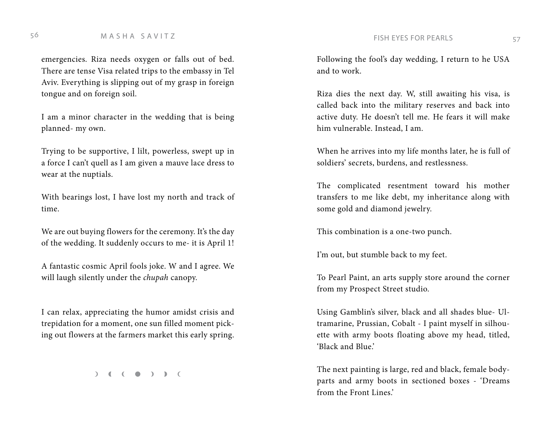# M A S H A S A V I T Z FISH EYES FOR PEARLS <sup>56</sup> <sup>57</sup>

emergencies. Riza needs oxygen or falls out of bed. There are tense Visa related trips to the embassy in Tel Aviv. Everything is slipping out of my grasp in foreign tongue and on foreign soil.

I am a minor character in the wedding that is being planned- my own.

Trying to be supportive, I lilt, powerless, swept up in a force I can't quell as I am given a mauve lace dress to wear at the nuptials.

With bearings lost, I have lost my north and track of time.

We are out buying flowers for the ceremony. It's the day of the wedding. It suddenly occurs to me- it is April 1!

A fantastic cosmic April fools joke. W and I agree. We will laugh silently under the *chupah* canopy.

I can relax, appreciating the humor amidst crisis and trepidation for a moment, one sun filled moment picking out flowers at the farmers market this early spring.

 $( )$  (  $( )$  )  $)$  (

Following the fool's day wedding, I return to he USA and to work.

Riza dies the next day. W, still awaiting his visa, is called back into the military reserves and back into active duty. He doesn't tell me. He fears it will make him vulnerable. Instead, I am.

When he arrives into my life months later, he is full of soldiers' secrets, burdens, and restlessness.

The complicated resentment toward his mother transfers to me like debt, my inheritance along with some gold and diamond jewelry.

This combination is a one-two punch.

I'm out, but stumble back to my feet.

To Pearl Paint, an arts supply store around the corner from my Prospect Street studio.

Using Gamblin's silver, black and all shades blue- Ultramarine, Prussian, Cobalt - I paint myself in silhouette with army boots floating above my head, titled, 'Black and Blue.'

The next painting is large, red and black, female bodyparts and army boots in sectioned boxes - 'Dreams from the Front Lines.'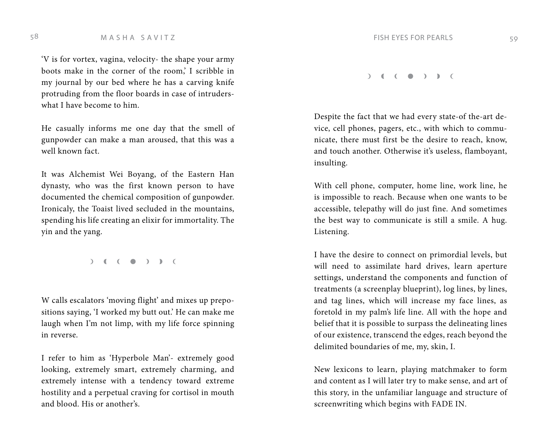### 58 M A S H A S A V I T Z FISH EYES FOR PEARLS 59

'V is for vortex, vagina, velocity- the shape your army boots make in the corner of the room,' I scribble in my journal by our bed where he has a carving knife protruding from the floor boards in case of intruderswhat I have become to him.

He casually informs me one day that the smell of gunpowder can make a man aroused, that this was a well known fact.

It was Alchemist Wei Boyang, of the Eastern Han dynasty, who was the first known person to have documented the chemical composition of gunpowder. Ironicaly, the Toaist lived secluded in the mountains, spending his life creating an elixir for immortality. The yin and the yang.

 $( )$  (  $( )$  )  $)$  ) (

W calls escalators 'moving flight' and mixes up prepositions saying, 'I worked my butt out.' He can make me laugh when I'm not limp, with my life force spinning in reverse.

I refer to him as 'Hyperbole Man'- extremely good looking, extremely smart, extremely charming, and extremely intense with a tendency toward extreme hostility and a perpetual craving for cortisol in mouth and blood. His or another's.

 $\begin{pmatrix} 1 & 1 \\ 1 & 1 \end{pmatrix}$ 

Despite the fact that we had every state-of the-art device, cell phones, pagers, etc., with which to communicate, there must first be the desire to reach, know, and touch another. Otherwise it's useless, flamboyant, insulting.

With cell phone, computer, home line, work line, he is impossible to reach. Because when one wants to be accessible, telepathy will do just fine. And sometimes the best way to communicate is still a smile. A hug. Listening.

I have the desire to connect on primordial levels, but will need to assimilate hard drives, learn aperture settings, understand the components and function of treatments (a screenplay blueprint), log lines, by lines, and tag lines, which will increase my face lines, as foretold in my palm's life line. All with the hope and belief that it is possible to surpass the delineating lines of our existence, transcend the edges, reach beyond the delimited boundaries of me, my, skin, I.

New lexicons to learn, playing matchmaker to form and content as I will later try to make sense, and art of this story, in the unfamiliar language and structure of screenwriting which begins with FADE IN.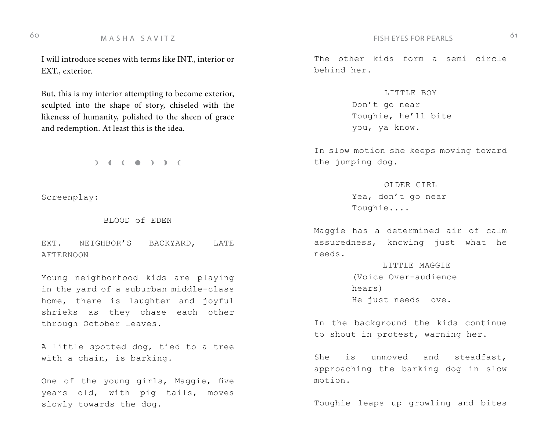M A S H A S A V I T Z FISH EYES FOR PEARLS 60 61

I will introduce scenes with terms like INT., interior or EXT., exterior.

But, this is my interior attempting to become exterior, sculpted into the shape of story, chiseled with the likeness of humanity, polished to the sheen of grace and redemption. At least this is the idea.

 $( )$  (  $( )$  )  $)$  ) (

Screenplay:

BLOOD of EDEN

EXT. NEIGHBOR'S BACKYARD, LATE AFTERNOON

Young neighborhood kids are playing in the yard of a suburban middle-class home, there is laughter and joyful shrieks as they chase each other through October leaves.

A little spotted dog, tied to a tree with a chain, is barking.

One of the young girls, Maggie, five years old, with pig tails, moves slowly towards the dog.

The other kids form a semi circle behind her.

> LITTLE BOY Don't go near Toughie, he'll bite you, ya know.

In slow motion she keeps moving toward the jumping dog.

> OLDER GIRL Yea, don't go near Toughie....

Maggie has a determined air of calm assuredness, knowing just what he needs.

> LITTLE MAGGIE (Voice Over-audience hears) He just needs love.

In the background the kids continue to shout in protest, warning her.

She is unmoved and steadfast, approaching the barking dog in slow motion.

Toughie leaps up growling and bites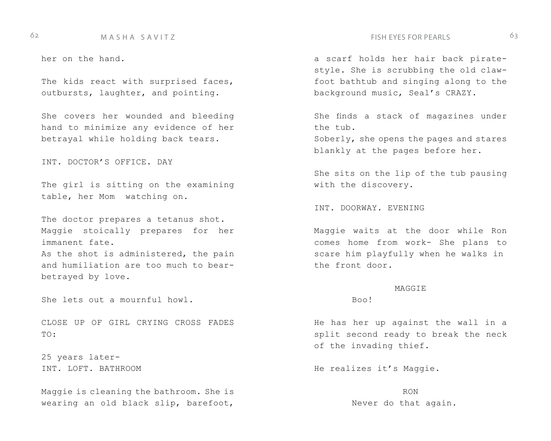### 62 M A S H A S A V I T Z FISH EYES FOR PEARLS 63

her on the hand.

The kids react with surprised faces, outbursts, laughter, and pointing.

She covers her wounded and bleeding hand to minimize any evidence of her betrayal while holding back tears.

INT. DOCTOR'S OFFICE. DAY

The girl is sitting on the examining table, her Mom watching on.

The doctor prepares a tetanus shot. Maggie stoically prepares for her immanent fate. As the shot is administered, the pain and humiliation are too much to bearbetrayed by love.

She lets out a mournful howl.

CLOSE UP OF GIRL CRYING CROSS FADES TO:

25 years later-INT. LOFT. BATHROOM

Maggie is cleaning the bathroom. She is wearing an old black slip, barefoot,

a scarf holds her hair back piratestyle. She is scrubbing the old clawfoot bathtub and singing along to the background music, Seal's CRAZY.

She finds a stack of magazines under the tub.

Soberly, she opens the pages and stares blankly at the pages before her.

She sits on the lip of the tub pausing with the discovery.

INT. DOORWAY. EVENING

Maggie waits at the door while Ron comes home from work- She plans to scare him playfully when he walks in the front door.

### **MAGGIE**

Boo!

He has her up against the wall in a split second ready to break the neck of the invading thief.

He realizes it's Maggie.

RON Never do that again.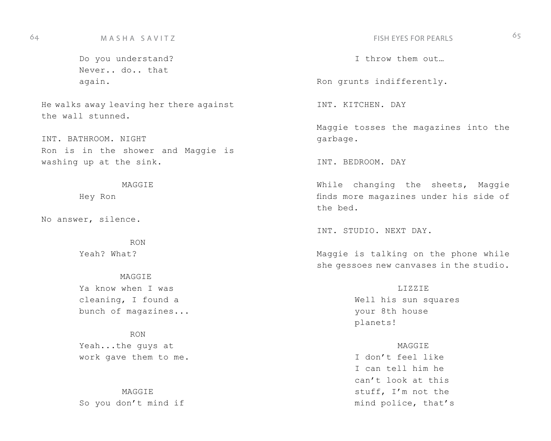Do you understand? Never.. do.. that again.

He walks away leaving her there against the wall stunned.

INT. BATHROOM. NIGHT Ron is in the shower and Maggie is washing up at the sink.

**MAGGIE** 

Hey Ron

No answer, silence.

RON Yeah? What?

**MAGGIE** Ya know when I was cleaning, I found a bunch of magazines...

RON Yeah...the guys at work gave them to me.

**MAGGIE** So you don't mind if

I throw them out…

Ron grunts indifferently.

INT. KITCHEN. DAY

Maggie tosses the magazines into the garbage.

INT. BEDROOM. DAY

While changing the sheets, Maggie finds more magazines under his side of the bed.

INT. STUDIO. NEXT DAY.

Maggie is talking on the phone while she gessoes new canvases in the studio.

> LIZZIE Well his sun squares your 8th house planets!

### **MAGGIE**

I don't feel like I can tell him he can't look at this stuff, I'm not the mind police, that's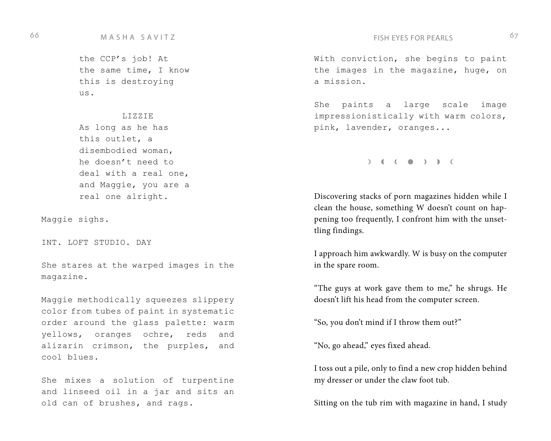## 66 MASHA SAVITZ 67

the CCP's job! At the same time, I know this is destroying  $11S.$ 

LIZZIE As long as he has this outlet, a disembodied woman, he doesn't need to deal with a real one, and Maggie, you are a real one alright.

Maggie sighs.

INT. LOFT STUDIO. DAY

She stares at the warped images in the magazine.

Maggie methodically squeezes slippery color from tubes of paint in systematic order around the glass palette: warm yellows, oranges ochre, reds and alizarin crimson, the purples, and cool blues.

She mixes a solution of turpentine and linseed oil in a jar and sits an old can of brushes, and rags.

With conviction, she begins to paint the images in the magazine, huge, on a mission.

She paints a large scale image impressionistically with warm colors, pink, lavender, oranges...

 $( )$  (  $( )$  )  $)$  ) (

Discovering stacks of porn magazines hidden while I clean the house, something W doesn't count on happening too frequently, I confront him with the unsettling findings.

I approach him awkwardly. W is busy on the computer in the spare room.

"The guys at work gave them to me," he shrugs. He doesn't lift his head from the computer screen.

"So, you don't mind if I throw them out?"

"No, go ahead," eyes fixed ahead.

I toss out a pile, only to find a new crop hidden behind my dresser or under the claw foot tub.

Sitting on the tub rim with magazine in hand, I study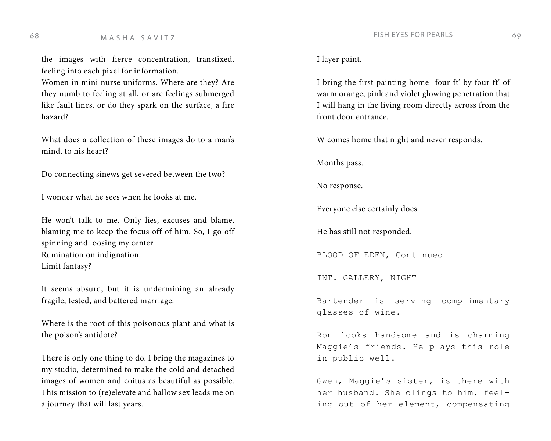the images with fierce concentration, transfixed, feeling into each pixel for information.

Women in mini nurse uniforms. Where are they? Are they numb to feeling at all, or are feelings submerged like fault lines, or do they spark on the surface, a fire hazard?

What does a collection of these images do to a man's mind, to his heart?

Do connecting sinews get severed between the two?

I wonder what he sees when he looks at me.

He won't talk to me. Only lies, excuses and blame, blaming me to keep the focus off of him. So, I go off spinning and loosing my center. Rumination on indignation. Limit fantasy?

It seems absurd, but it is undermining an already fragile, tested, and battered marriage.

Where is the root of this poisonous plant and what is the poison's antidote?

There is only one thing to do. I bring the magazines to my studio, determined to make the cold and detached images of women and coitus as beautiful as possible. This mission to (re)elevate and hallow sex leads me on a journey that will last years.

I layer paint.

I bring the first painting home- four ft' by four ft' of warm orange, pink and violet glowing penetration that I will hang in the living room directly across from the front door entrance.

W comes home that night and never responds.

Months pass.

No response.

Everyone else certainly does.

He has still not responded.

BLOOD OF EDEN, Continued

INT. GALLERY, NIGHT

Bartender is serving complimentary glasses of wine.

Ron looks handsome and is charming Maggie's friends. He plays this role in public well.

Gwen, Maggie's sister, is there with her husband. She clings to him, feeling out of her element, compensating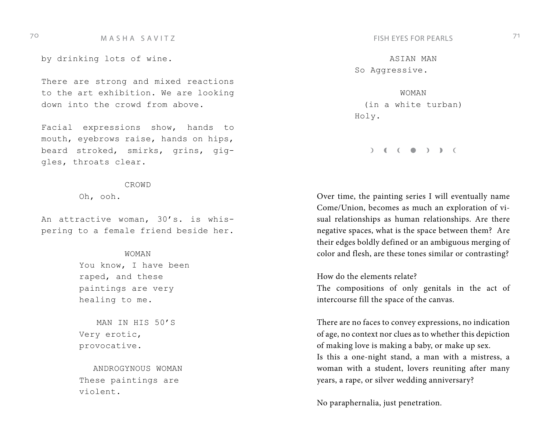# TO THE MASHA SAVITZ THE SAMING SAMING THE STOR PEARLS TO MASHA SAVITZ

by drinking lots of wine.

There are strong and mixed reactions to the art exhibition. We are looking down into the crowd from above.

Facial expressions show, hands to mouth, eyebrows raise, hands on hips, beard stroked, smirks, grins, giggles, throats clear.

### CROWD

Oh, ooh.

An attractive woman, 30's. is whispering to a female friend beside her.

### WOMAN

You know, I have been raped, and these paintings are very healing to me.

MAN IN HIS 50'S Very erotic, provocative.

ANDROGYNOUS WOMAN These paintings are violent.

ASIAN MAN So Aggressive.

WOMAN (in a white turban) Holy.

 $\begin{pmatrix} 1 & 1 \\ 0 & 0 \end{pmatrix}$ 

Over time, the painting series I will eventually name Come/Union, becomes as much an exploration of visual relationships as human relationships. Are there negative spaces, what is the space between them? Are their edges boldly defined or an ambiguous merging of color and flesh, are these tones similar or contrasting?

How do the elements relate?

The compositions of only genitals in the act of intercourse fill the space of the canvas.

There are no faces to convey expressions, no indication of age, no context nor clues as to whether this depiction of making love is making a baby, or make up sex. Is this a one-night stand, a man with a mistress, a woman with a student, lovers reuniting after many years, a rape, or silver wedding anniversary?

No paraphernalia, just penetration.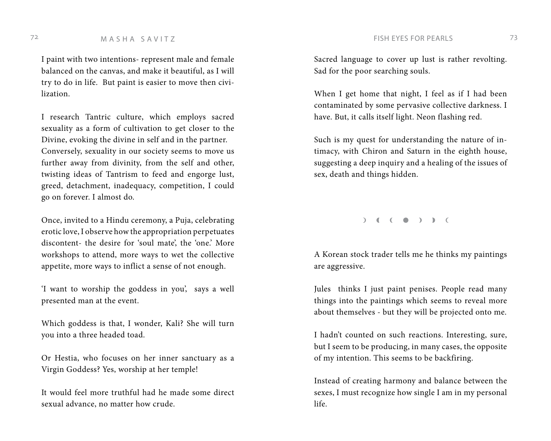### The M A S H A S A V I T Z FISH EYES FOR PEARLS TO M A S H A S A V I T Z

I paint with two intentions- represent male and female balanced on the canvas, and make it beautiful, as I will try to do in life. But paint is easier to move then civilization.

I research Tantric culture, which employs sacred sexuality as a form of cultivation to get closer to the Divine, evoking the divine in self and in the partner. Conversely, sexuality in our society seems to move us further away from divinity, from the self and other, twisting ideas of Tantrism to feed and engorge lust, greed, detachment, inadequacy, competition, I could go on forever. I almost do.

Once, invited to a Hindu ceremony, a Puja, celebrating erotic love, I observe how the appropriation perpetuates discontent- the desire for 'soul mate', the 'one.' More workshops to attend, more ways to wet the collective appetite, more ways to inflict a sense of not enough.

'I want to worship the goddess in you', says a well presented man at the event.

Which goddess is that, I wonder, Kali? She will turn you into a three headed toad.

Or Hestia, who focuses on her inner sanctuary as a Virgin Goddess? Yes, worship at her temple!

It would feel more truthful had he made some direct sexual advance, no matter how crude.

Sacred language to cover up lust is rather revolting. Sad for the poor searching souls.

When I get home that night, I feel as if I had been contaminated by some pervasive collective darkness. I have. But, it calls itself light. Neon flashing red.

Such is my quest for understanding the nature of intimacy, with Chiron and Saturn in the eighth house, suggesting a deep inquiry and a healing of the issues of sex, death and things hidden.

 $\begin{pmatrix} 1 & 1 & 1 \\ 0 & 0 & 1 \end{pmatrix}$ 

A Korean stock trader tells me he thinks my paintings are aggressive.

Jules thinks I just paint penises. People read many things into the paintings which seems to reveal more about themselves - but they will be projected onto me.

I hadn't counted on such reactions. Interesting, sure, but I seem to be producing, in many cases, the opposite of my intention. This seems to be backfiring.

Instead of creating harmony and balance between the sexes, I must recognize how single I am in my personal life.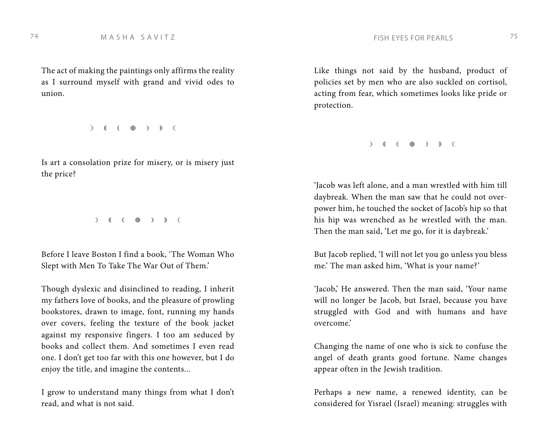The act of making the paintings only affirms the reality as I surround myself with grand and vivid odes to union.

 $\begin{pmatrix} 1 & 1 \\ 0 & 1 \end{pmatrix}$ 

Is art a consolation prize for misery, or is misery just the price?

 $\begin{pmatrix} 1 & 1 \\ 0 & 1 \end{pmatrix}$ 

Before I leave Boston I find a book, 'The Woman Who Slept with Men To Take The War Out of Them.'

Though dyslexic and disinclined to reading, I inherit my fathers love of books, and the pleasure of prowling bookstores, drawn to image, font, running my hands over covers, feeling the texture of the book jacket against my responsive fingers. I too am seduced by books and collect them. And sometimes I even read one. I don't get too far with this one however, but I do enjoy the title, and imagine the contents...

I grow to understand many things from what I don't read, and what is not said.

Like things not said by the husband, product of policies set by men who are also suckled on cortisol, acting from fear, which sometimes looks like pride or protection.

 $\begin{pmatrix} 1 & 1 \\ 0 & 1 \end{pmatrix}$ 

'Jacob was left alone, and a man wrestled with him till daybreak. When the man saw that he could not overpower him, he touched the socket of Jacob's hip so that his hip was wrenched as he wrestled with the man. Then the man said, 'Let me go, for it is daybreak.'

But Jacob replied, 'I will not let you go unless you bless me.' The man asked him, 'What is your name?'

'Jacob,' He answered. Then the man said, 'Your name will no longer be Jacob, but Israel, because you have struggled with God and with humans and have overcome.'

Changing the name of one who is sick to confuse the angel of death grants good fortune. Name changes appear often in the Jewish tradition.

Perhaps a new name, a renewed identity, can be considered for Yisrael (Israel) meaning: struggles with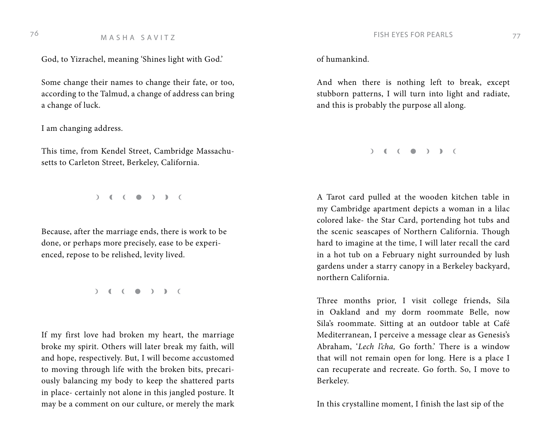God, to Yizrachel, meaning 'Shines light with God.'

Some change their names to change their fate, or too, according to the Talmud, a change of address can bring a change of luck.

I am changing address.

This time, from Kendel Street, Cambridge Massachusetts to Carleton Street, Berkeley, California.

 $\begin{pmatrix} 1 & 1 \\ 0 & 1 \end{pmatrix}$ 

Because, after the marriage ends, there is work to be done, or perhaps more precisely, ease to be experienced, repose to be relished, levity lived.

 $( )$  (  $( )$  )  $)$  (

If my first love had broken my heart, the marriage broke my spirit. Others will later break my faith, will and hope, respectively. But, I will become accustomed to moving through life with the broken bits, precariously balancing my body to keep the shattered parts in place- certainly not alone in this jangled posture. It may be a comment on our culture, or merely the mark of humankind.

And when there is nothing left to break, except stubborn patterns, I will turn into light and radiate, and this is probably the purpose all along.

 $( )$  (  $( )$  )  $)$  ) (

A Tarot card pulled at the wooden kitchen table in my Cambridge apartment depicts a woman in a lilac colored lake- the Star Card, portending hot tubs and the scenic seascapes of Northern California. Though hard to imagine at the time, I will later recall the card in a hot tub on a February night surrounded by lush gardens under a starry canopy in a Berkeley backyard, northern California.

Three months prior, I visit college friends, Sila in Oakland and my dorm roommate Belle, now Sila's roommate. Sitting at an outdoor table at Café Mediterranean, I perceive a message clear as Genesis's Abraham, '*Lech l'cha,* Go forth.' There is a window that will not remain open for long. Here is a place I can recuperate and recreate. Go forth. So, I move to Berkeley.

In this crystalline moment, I finish the last sip of the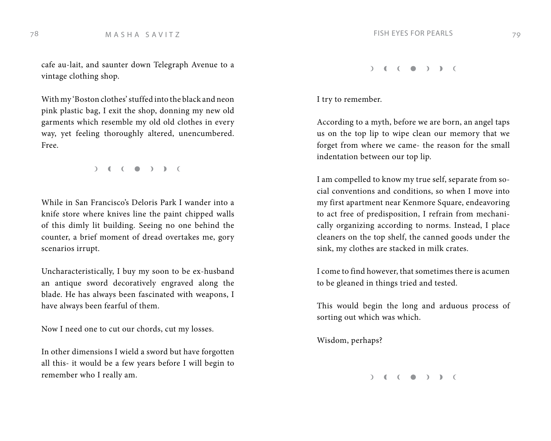cafe au-lait, and saunter down Telegraph Avenue to a vintage clothing shop.

With my 'Boston clothes' stuffed into the black and neon pink plastic bag, I exit the shop, donning my new old garments which resemble my old old clothes in every way, yet feeling thoroughly altered, unencumbered. Free.

 $)$  (  $($   $)$  )  $)$  (

While in San Francisco's Deloris Park I wander into a knife store where knives line the paint chipped walls of this dimly lit building. Seeing no one behind the counter, a brief moment of dread overtakes me, gory scenarios irrupt.

Uncharacteristically, I buy my soon to be ex-husband an antique sword decoratively engraved along the blade. He has always been fascinated with weapons, I have always been fearful of them.

Now I need one to cut our chords, cut my losses.

In other dimensions I wield a sword but have forgotten all this- it would be a few years before I will begin to remember who I really am.

 $( )$  (  $( )$  )  $)$  ) (

I try to remember.

According to a myth, before we are born, an angel taps us on the top lip to wipe clean our memory that we forget from where we came- the reason for the small indentation between our top lip.

I am compelled to know my true self, separate from social conventions and conditions, so when I move into my first apartment near Kenmore Square, endeavoring to act free of predisposition, I refrain from mechanically organizing according to norms. Instead, I place cleaners on the top shelf, the canned goods under the sink, my clothes are stacked in milk crates.

I come to find however, that sometimes there is acumen to be gleaned in things tried and tested.

This would begin the long and arduous process of sorting out which was which.

Wisdom, perhaps?

 $\begin{pmatrix} 1 & 1 \\ 0 & 1 \end{pmatrix}$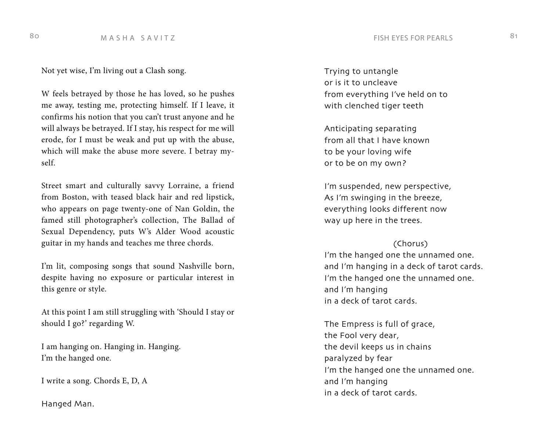## 80 M A S H A S A V I T Z SO REARLS AND THE STORE PEARLS AND MALL SET ON A SHANE AND THE STORE PEARLS AND MALL SET ON A SHANE AND THE STORE REAR ON THE STORE REAR ON THE STORE REAR ON THE STORE REAR ON THE STORE REAL SET ON

Not yet wise, I'm living out a Clash song.

W feels betrayed by those he has loved, so he pushes me away, testing me, protecting himself. If I leave, it confirms his notion that you can't trust anyone and he will always be betrayed. If I stay, his respect for me will erode, for I must be weak and put up with the abuse, which will make the abuse more severe. I betray myself.

Street smart and culturally savvy Lorraine, a friend from Boston, with teased black hair and red lipstick, who appears on page twenty-one of Nan Goldin, the famed still photographer's collection, The Ballad of Sexual Dependency, puts W's Alder Wood acoustic guitar in my hands and teaches me three chords.

I'm lit, composing songs that sound Nashville born, despite having no exposure or particular interest in this genre or style.

At this point I am still struggling with 'Should I stay or should I go?' regarding W.

I am hanging on. Hanging in. Hanging. I'm the hanged one.

I write a song. Chords E, D, A

Hanged Man.

Trying to untangle or is it to uncleave from everything I've held on to with clenched tiger teeth

Anticipating separating from all that I have known to be your loving wife or to be on my own?

I'm suspended, new perspective, As I'm swinging in the breeze, everything looks different now way up here in the trees.

## (Chorus)

I'm the hanged one the unnamed one. and I'm hanging in a deck of tarot cards. I'm the hanged one the unnamed one. and I'm hanging in a deck of tarot cards.

The Empress is full of grace, the Fool very dear, the devil keeps us in chains paralyzed by fear I'm the hanged one the unnamed one. and I'm hanging in a deck of tarot cards.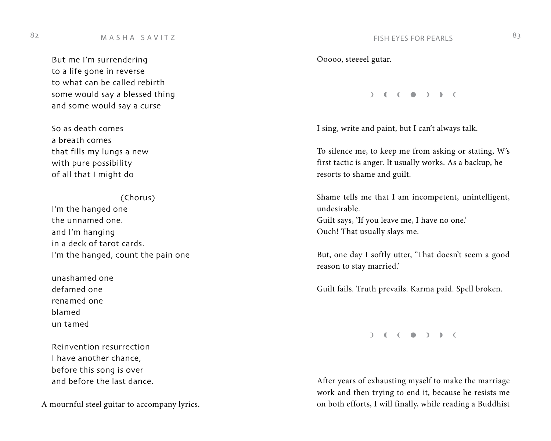# M A S H A S A V I T Z FISH EYES FOR PEARLS 82 83

But me I'm surrendering to a life gone in reverse to what can be called rebirth some would say a blessed thing and some would say a curse

So as death comes a breath comes that fills my lungs a new with pure possibility of all that I might do

## (Chorus)

I'm the hanged one the unnamed one. and I'm hanging in a deck of tarot cards. I'm the hanged, count the pain one

unashamed one defamed one renamed one blamed un tamed

Reinvention resurrection I have another chance, before this song is over and before the last dance.

A mournful steel guitar to accompany lyrics.

Ooooo, steeeel gutar.

 $\begin{pmatrix} 1 & 1 & 1 \\ 0 & 0 & 1 \end{pmatrix}$ 

I sing, write and paint, but I can't always talk.

To silence me, to keep me from asking or stating, W's first tactic is anger. It usually works. As a backup, he resorts to shame and guilt.

Shame tells me that I am incompetent, unintelligent, undesirable. Guilt says, 'If you leave me, I have no one.' Ouch! That usually slays me.

But, one day I softly utter, 'That doesn't seem a good reason to stay married.'

Guilt fails. Truth prevails. Karma paid. Spell broken.

 $( )$  (  $( )$  )  $)$  ) (

After years of exhausting myself to make the marriage work and then trying to end it, because he resists me on both efforts, I will finally, while reading a Buddhist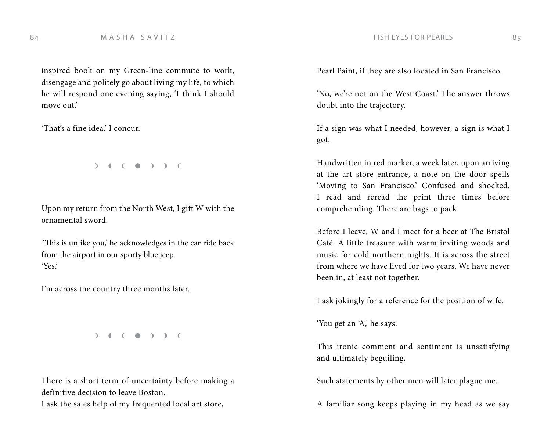inspired book on my Green-line commute to work, disengage and politely go about living my life, to which he will respond one evening saying, 'I think I should move out.'

'That's a fine idea.' I concur.

 $( )$  (  $( )$  )  $)$  ) (

Upon my return from the North West, I gift W with the ornamental sword.

"This is unlike you,' he acknowledges in the car ride back from the airport in our sporty blue jeep. 'Yes.'

I'm across the country three months later.

 $( )$  (  $( )$  )  $)$  (

There is a short term of uncertainty before making a definitive decision to leave Boston.

I ask the sales help of my frequented local art store,

Pearl Paint, if they are also located in San Francisco.

'No, we're not on the West Coast.' The answer throws doubt into the trajectory.

If a sign was what I needed, however, a sign is what I got.

Handwritten in red marker, a week later, upon arriving at the art store entrance, a note on the door spells 'Moving to San Francisco.' Confused and shocked, I read and reread the print three times before comprehending. There are bags to pack.

Before I leave, W and I meet for a beer at The Bristol Café. A little treasure with warm inviting woods and music for cold northern nights. It is across the street from where we have lived for two years. We have never been in, at least not together.

I ask jokingly for a reference for the position of wife.

'You get an 'A,' he says.

This ironic comment and sentiment is unsatisfying and ultimately beguiling.

Such statements by other men will later plague me.

A familiar song keeps playing in my head as we say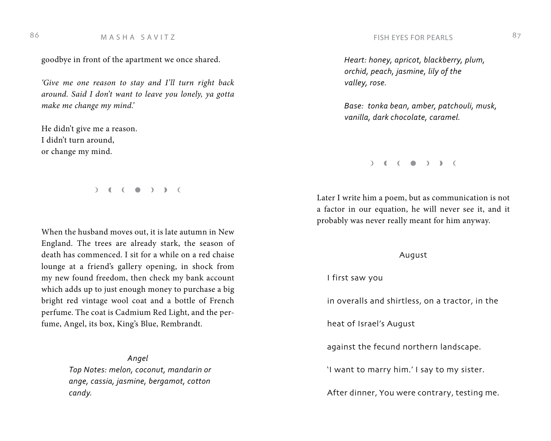## M A S H A S A V I T Z FISH EYES FOR PEARLS 86 87

goodbye in front of the apartment we once shared.

*'Give me one reason to stay and I'll turn right back around. Said I don't want to leave you lonely, ya gotta make me change my mind.'*

He didn't give me a reason. I didn't turn around, or change my mind.

 $\begin{pmatrix} 1 & 1 & 1 \\ 0 & 0 & 1 \end{pmatrix}$ 

When the husband moves out, it is late autumn in New England. The trees are already stark, the season of death has commenced. I sit for a while on a red chaise lounge at a friend's gallery opening, in shock from my new found freedom, then check my bank account which adds up to just enough money to purchase a big bright red vintage wool coat and a bottle of French perfume. The coat is Cadmium Red Light, and the perfume, Angel, its box, King's Blue, Rembrandt.

> *Angel Top Notes: melon, coconut, mandarin or ange, cassia, jasmine, bergamot, cotton candy.*

 *Heart: honey, apricot, blackberry, plum, orchid, peach, jasmine, lily of the valley, rose.*

 *Base: tonka bean, amber, patchouli, musk, vanilla, dark chocolate, caramel.*

### $\begin{pmatrix} 1 & 1 \\ 0 & 1 \end{pmatrix}$

Later I write him a poem, but as communication is not a factor in our equation, he will never see it, and it probably was never really meant for him anyway.

## August

I first saw you

in overalls and shirtless, on a tractor, in the

heat of Israel's August

against the fecund northern landscape.

'I want to marry him.' I say to my sister.

After dinner, You were contrary, testing me.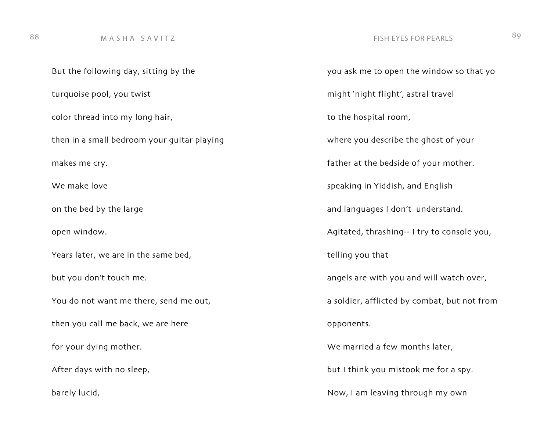# 88 M A S H A S A V I T Z SOME RESPONDENT AND RESPONDENTLYES FOR PEARLS

But the following day, sitting by the turquoise pool, you twist color thread into my long hair, then in a small bedroom your guitar playing makes me cry. We make love on the bed by the large open window. Years later, we are in the same bed, but you don't touch me. You do not want me there, send me out, then you call me back, we are here for your dying mother. After days with no sleep, barely lucid,

you ask me to open the window so that yo might 'night flight', astral travel to the hospital room, where you describe the ghost of your father at the bedside of your mother. speaking in Yiddish, and English and languages I don't understand. Agitated, thrashing-- I try to console you, telling you that angels are with you and will watch over, a soldier, afflicted by combat, but not from opponents. We married a few months later, but I think you mistook me for a spy. Now, I am leaving through my own